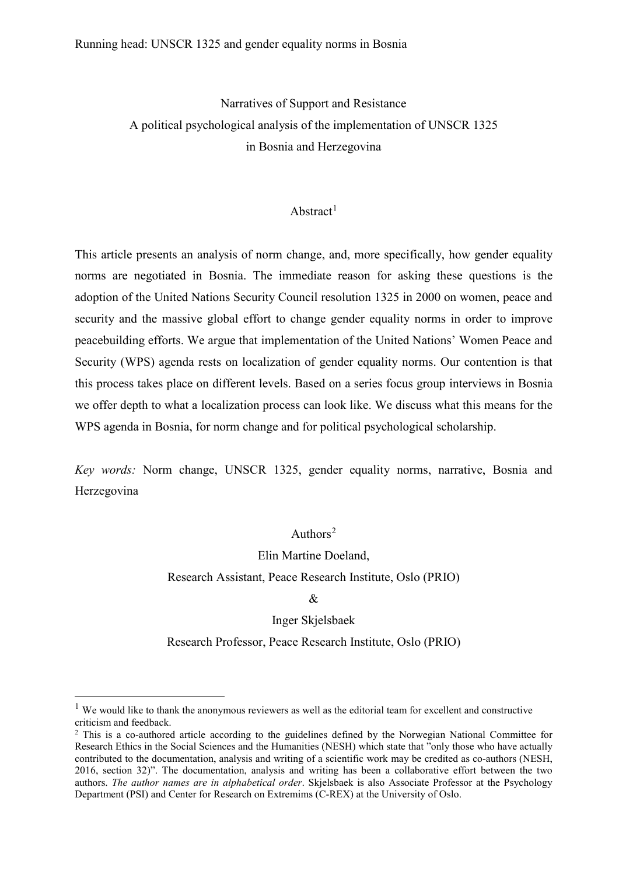# Narratives of Support and Resistance A political psychological analysis of the implementation of UNSCR 1325 in Bosnia and Herzegovina

## $Abstract<sup>1</sup>$  $Abstract<sup>1</sup>$  $Abstract<sup>1</sup>$

This article presents an analysis of norm change, and, more specifically, how gender equality norms are negotiated in Bosnia. The immediate reason for asking these questions is the adoption of the United Nations Security Council resolution 1325 in 2000 on women, peace and security and the massive global effort to change gender equality norms in order to improve peacebuilding efforts. We argue that implementation of the United Nations' Women Peace and Security (WPS) agenda rests on localization of gender equality norms. Our contention is that this process takes place on different levels. Based on a series focus group interviews in Bosnia we offer depth to what a localization process can look like. We discuss what this means for the WPS agenda in Bosnia, for norm change and for political psychological scholarship.

*Key words:* Norm change, UNSCR 1325, gender equality norms, narrative, Bosnia and Herzegovina

## Authors<sup>[2](#page-0-1)</sup>

Elin Martine Doeland,

Research Assistant, Peace Research Institute, Oslo (PRIO)

 $\mathcal{R}_{\mathcal{L}}$ 

Inger Skjelsbaek

Research Professor, Peace Research Institute, Oslo (PRIO)

-

<span id="page-0-0"></span> $<sup>1</sup>$  We would like to thank the anonymous reviewers as well as the editorial team for excellent and constructive</sup> criticism and feedback.

<span id="page-0-1"></span><sup>2</sup> This is a co-authored article according to the guidelines defined by the Norwegian National Committee for Research Ethics in the Social Sciences and the Humanities (NESH) which state that "only those who have actually contributed to the documentation, analysis and writing of a scientific work may be credited as co-authors (NESH, 2016, section 32)". The documentation, analysis and writing has been a collaborative effort between the two authors. *The author names are in alphabetical order*. Skjelsbaek is also Associate Professor at the Psychology Department (PSI) and Center for Research on Extremims (C-REX) at the University of Oslo.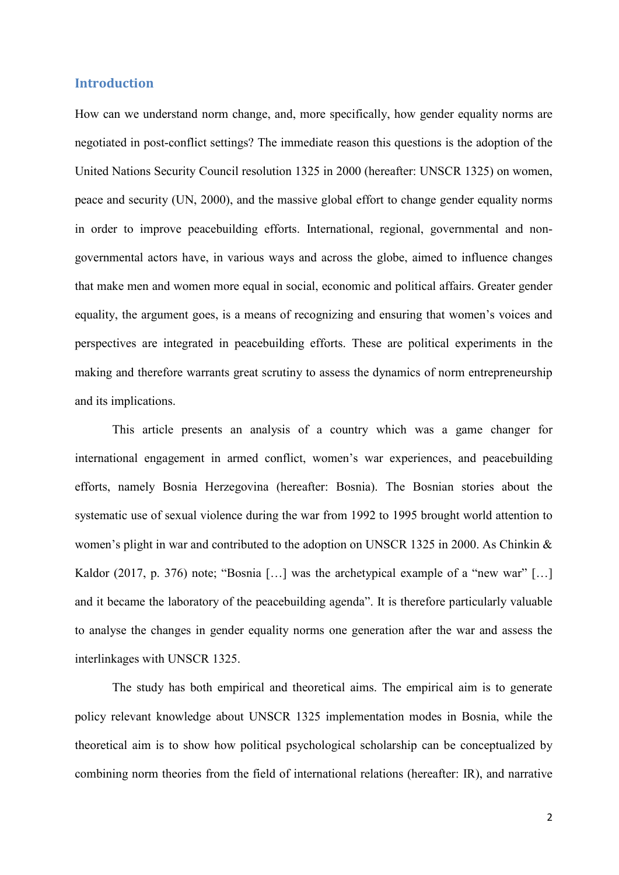## **Introduction**

How can we understand norm change, and, more specifically, how gender equality norms are negotiated in post-conflict settings? The immediate reason this questions is the adoption of the United Nations Security Council resolution 1325 in 2000 (hereafter: UNSCR 1325) on women, peace and security (UN, 2000), and the massive global effort to change gender equality norms in order to improve peacebuilding efforts. International, regional, governmental and nongovernmental actors have, in various ways and across the globe, aimed to influence changes that make men and women more equal in social, economic and political affairs. Greater gender equality, the argument goes, is a means of recognizing and ensuring that women's voices and perspectives are integrated in peacebuilding efforts. These are political experiments in the making and therefore warrants great scrutiny to assess the dynamics of norm entrepreneurship and its implications.

This article presents an analysis of a country which was a game changer for international engagement in armed conflict, women's war experiences, and peacebuilding efforts, namely Bosnia Herzegovina (hereafter: Bosnia). The Bosnian stories about the systematic use of sexual violence during the war from 1992 to 1995 brought world attention to women's plight in war and contributed to the adoption on UNSCR 1325 in 2000. As Chinkin & Kaldor (2017, p. 376) note; "Bosnia [...] was the archetypical example of a "new war" [...] and it became the laboratory of the peacebuilding agenda". It is therefore particularly valuable to analyse the changes in gender equality norms one generation after the war and assess the interlinkages with UNSCR 1325.

The study has both empirical and theoretical aims. The empirical aim is to generate policy relevant knowledge about UNSCR 1325 implementation modes in Bosnia, while the theoretical aim is to show how political psychological scholarship can be conceptualized by combining norm theories from the field of international relations (hereafter: IR), and narrative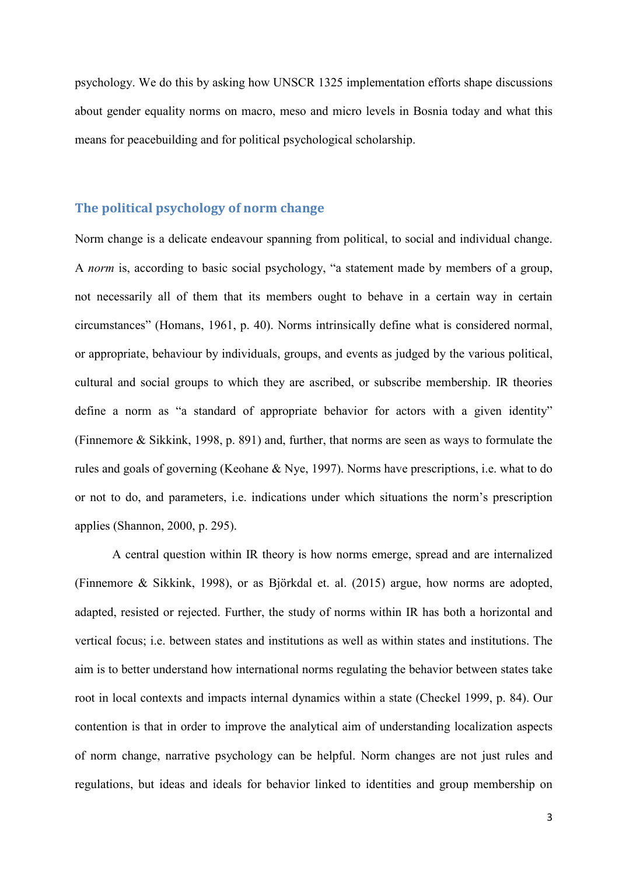psychology. We do this by asking how UNSCR 1325 implementation efforts shape discussions about gender equality norms on macro, meso and micro levels in Bosnia today and what this means for peacebuilding and for political psychological scholarship.

#### **The political psychology of norm change**

Norm change is a delicate endeavour spanning from political, to social and individual change. A *norm* is, according to basic social psychology, "a statement made by members of a group, not necessarily all of them that its members ought to behave in a certain way in certain circumstances" (Homans, 1961, p. 40). Norms intrinsically define what is considered normal, or appropriate, behaviour by individuals, groups, and events as judged by the various political, cultural and social groups to which they are ascribed, or subscribe membership. IR theories define a norm as "a standard of appropriate behavior for actors with a given identity" (Finnemore & Sikkink, 1998, p. 891) and, further, that norms are seen as ways to formulate the rules and goals of governing (Keohane & Nye, 1997). Norms have prescriptions, i.e. what to do or not to do, and parameters, i.e. indications under which situations the norm's prescription applies (Shannon, 2000, p. 295).

A central question within IR theory is how norms emerge, spread and are internalized (Finnemore & Sikkink, 1998), or as Björkdal et. al. (2015) argue, how norms are adopted, adapted, resisted or rejected. Further, the study of norms within IR has both a horizontal and vertical focus; i.e. between states and institutions as well as within states and institutions. The aim is to better understand how international norms regulating the behavior between states take root in local contexts and impacts internal dynamics within a state (Checkel 1999, p. 84). Our contention is that in order to improve the analytical aim of understanding localization aspects of norm change, narrative psychology can be helpful. Norm changes are not just rules and regulations, but ideas and ideals for behavior linked to identities and group membership on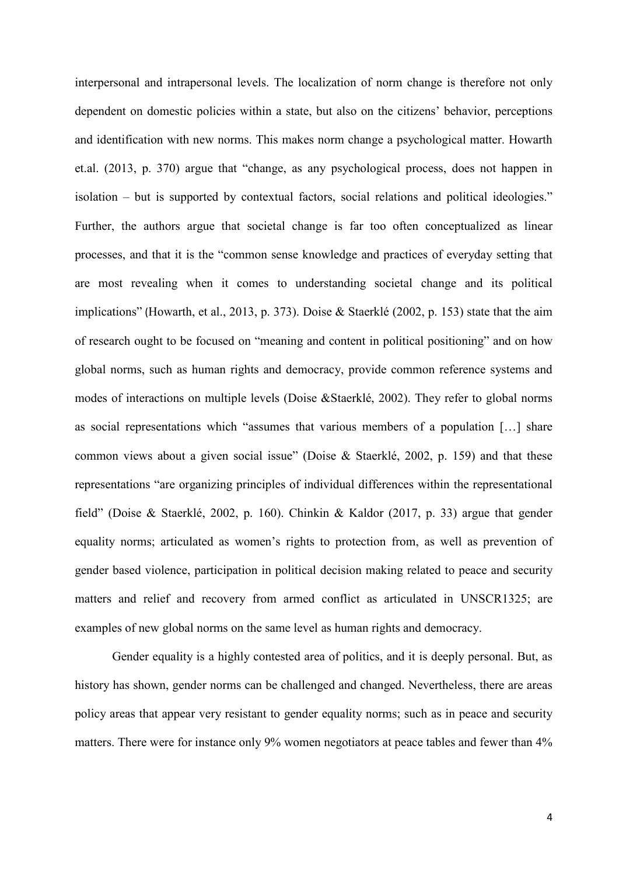interpersonal and intrapersonal levels. The localization of norm change is therefore not only dependent on domestic policies within a state, but also on the citizens' behavior, perceptions and identification with new norms. This makes norm change a psychological matter. Howarth et.al. (2013, p. 370) argue that "change, as any psychological process, does not happen in isolation – but is supported by contextual factors, social relations and political ideologies." Further, the authors argue that societal change is far too often conceptualized as linear processes, and that it is the "common sense knowledge and practices of everyday setting that are most revealing when it comes to understanding societal change and its political implications" (Howarth, et al., 2013, p. 373). Doise & Staerklé (2002, p. 153) state that the aim of research ought to be focused on "meaning and content in political positioning" and on how global norms, such as human rights and democracy, provide common reference systems and modes of interactions on multiple levels (Doise &Staerklé, 2002). They refer to global norms as social representations which "assumes that various members of a population […] share common views about a given social issue" (Doise & Staerklé, 2002, p. 159) and that these representations "are organizing principles of individual differences within the representational field" (Doise & Staerklé, 2002, p. 160). Chinkin & Kaldor (2017, p. 33) argue that gender equality norms; articulated as women's rights to protection from, as well as prevention of gender based violence, participation in political decision making related to peace and security matters and relief and recovery from armed conflict as articulated in UNSCR1325; are examples of new global norms on the same level as human rights and democracy.

Gender equality is a highly contested area of politics, and it is deeply personal. But, as history has shown, gender norms can be challenged and changed. Nevertheless, there are areas policy areas that appear very resistant to gender equality norms; such as in peace and security matters. There were for instance only 9% women negotiators at peace tables and fewer than 4%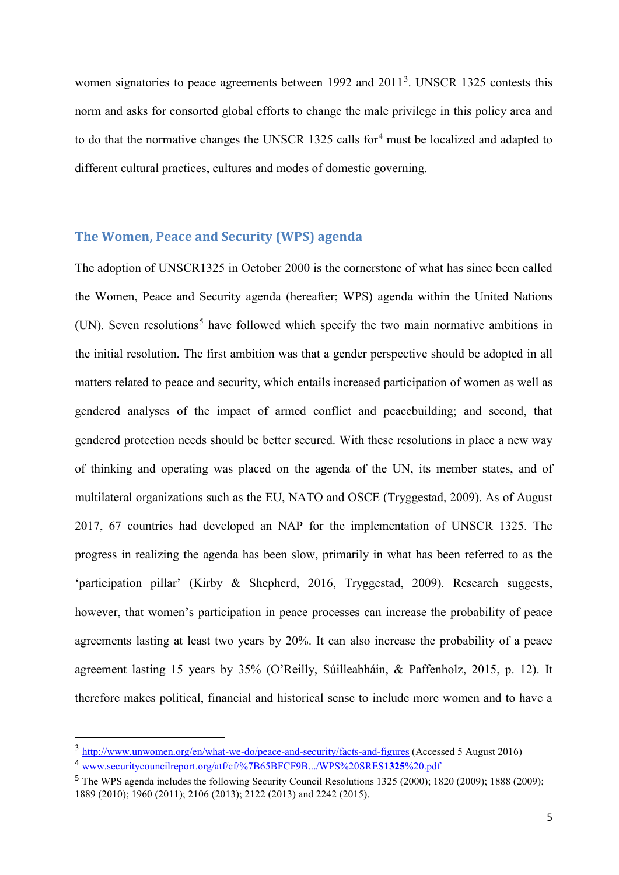women signatories to peace agreements between  $1992$  and  $2011<sup>3</sup>$  $2011<sup>3</sup>$  $2011<sup>3</sup>$ . UNSCR 1325 contests this norm and asks for consorted global efforts to change the male privilege in this policy area and to do that the normative changes the UNSCR 1325 calls for  $4$  must be localized and adapted to different cultural practices, cultures and modes of domestic governing.

## **The Women, Peace and Security (WPS) agenda**

The adoption of UNSCR1325 in October 2000 is the cornerstone of what has since been called the Women, Peace and Security agenda (hereafter; WPS) agenda within the United Nations (UN). Seven resolutions<sup>[5](#page-4-2)</sup> have followed which specify the two main normative ambitions in the initial resolution. The first ambition was that a gender perspective should be adopted in all matters related to peace and security, which entails increased participation of women as well as gendered analyses of the impact of armed conflict and peacebuilding; and second, that gendered protection needs should be better secured. With these resolutions in place a new way of thinking and operating was placed on the agenda of the UN, its member states, and of multilateral organizations such as the EU, NATO and OSCE (Tryggestad, 2009). As of August 2017, 67 countries had developed an NAP for the implementation of UNSCR 1325. The progress in realizing the agenda has been slow, primarily in what has been referred to as the 'participation pillar' (Kirby & Shepherd, 2016, Tryggestad, 2009). Research suggests, however, that women's participation in peace processes can increase the probability of peace agreements lasting at least two years by 20%. It can also increase the probability of a peace agreement lasting 15 years by 35% (O'Reilly, Súilleabháin, & Paffenholz, 2015, p. 12). It therefore makes political, financial and historical sense to include more women and to have a

-

<span id="page-4-0"></span><sup>3</sup> <http://www.unwomen.org/en/what-we-do/peace-and-security/facts-and-figures> (Accessed 5 August 2016) <sup>4</sup> [www.securitycouncilreport.org/atf/cf/%7B65BFCF9B.../WPS%20SRES](http://www.securitycouncilreport.org/atf/cf/%7B65BFCF9B.../WPS%20SRES1325%20.pdf)**1325**%20.pdf

<span id="page-4-2"></span><span id="page-4-1"></span><sup>5</sup> The WPS agenda includes the following Security Council Resolutions 1325 (2000); 1820 (2009); 1888 (2009); 1889 (2010); 1960 (2011); 2106 (2013); 2122 (2013) and 2242 (2015).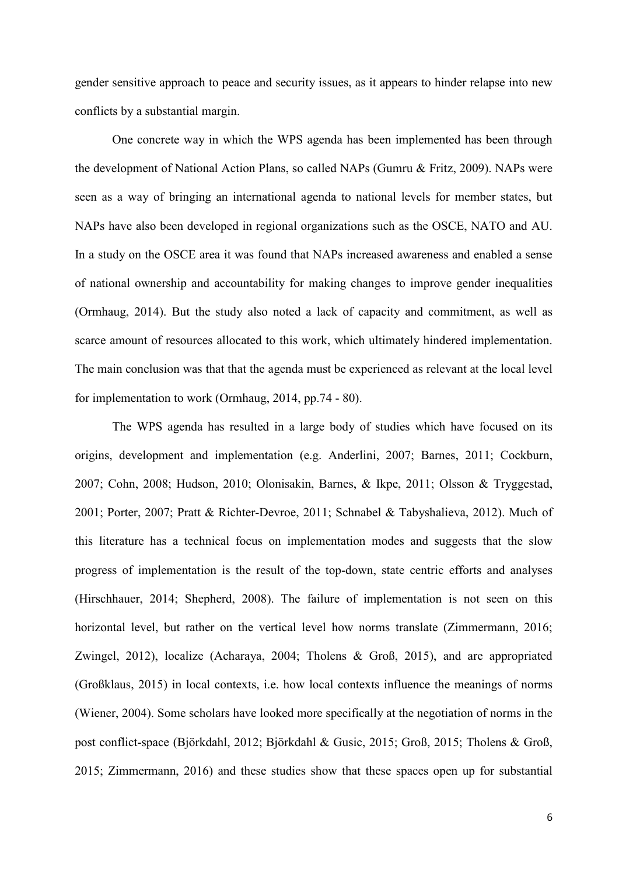gender sensitive approach to peace and security issues, as it appears to hinder relapse into new conflicts by a substantial margin.

One concrete way in which the WPS agenda has been implemented has been through the development of National Action Plans, so called NAPs (Gumru & Fritz, 2009). NAPs were seen as a way of bringing an international agenda to national levels for member states, but NAPs have also been developed in regional organizations such as the OSCE, NATO and AU. In a study on the OSCE area it was found that NAPs increased awareness and enabled a sense of national ownership and accountability for making changes to improve gender inequalities (Ormhaug, 2014). But the study also noted a lack of capacity and commitment, as well as scarce amount of resources allocated to this work, which ultimately hindered implementation. The main conclusion was that that the agenda must be experienced as relevant at the local level for implementation to work (Ormhaug, 2014, pp.74 - 80).

The WPS agenda has resulted in a large body of studies which have focused on its origins, development and implementation (e.g. Anderlini, 2007; Barnes, 2011; Cockburn, 2007; Cohn, 2008; Hudson, 2010; Olonisakin, Barnes, & Ikpe, 2011; Olsson & Tryggestad, 2001; Porter, 2007; Pratt & Richter-Devroe, 2011; Schnabel & Tabyshalieva, 2012). Much of this literature has a technical focus on implementation modes and suggests that the slow progress of implementation is the result of the top-down, state centric efforts and analyses (Hirschhauer, 2014; Shepherd, 2008). The failure of implementation is not seen on this horizontal level, but rather on the vertical level how norms translate (Zimmermann, 2016; Zwingel, 2012), localize (Acharaya, 2004; Tholens & Groß, 2015), and are appropriated (Großklaus, 2015) in local contexts, i.e. how local contexts influence the meanings of norms (Wiener, 2004). Some scholars have looked more specifically at the negotiation of norms in the post conflict-space (Björkdahl, 2012; Björkdahl & Gusic, 2015; Groß, 2015; Tholens & Groß, 2015; Zimmermann, 2016) and these studies show that these spaces open up for substantial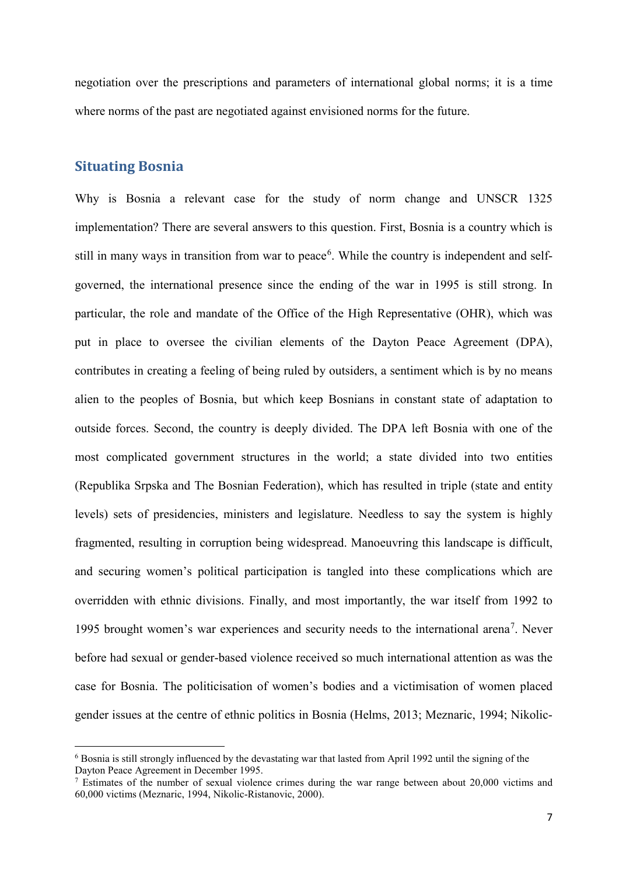negotiation over the prescriptions and parameters of international global norms; it is a time where norms of the past are negotiated against envisioned norms for the future.

## **Situating Bosnia**

1

Why is Bosnia a relevant case for the study of norm change and UNSCR 1325 implementation? There are several answers to this question. First, Bosnia is a country which is still in many ways in transition from war to peace<sup>[6](#page-6-0)</sup>. While the country is independent and selfgoverned, the international presence since the ending of the war in 1995 is still strong. In particular, the role and mandate of the Office of the High Representative (OHR), which was put in place to oversee the civilian elements of the Dayton Peace Agreement (DPA), contributes in creating a feeling of being ruled by outsiders, a sentiment which is by no means alien to the peoples of Bosnia, but which keep Bosnians in constant state of adaptation to outside forces. Second, the country is deeply divided. The DPA left Bosnia with one of the most complicated government structures in the world; a state divided into two entities (Republika Srpska and The Bosnian Federation), which has resulted in triple (state and entity levels) sets of presidencies, ministers and legislature. Needless to say the system is highly fragmented, resulting in corruption being widespread. Manoeuvring this landscape is difficult, and securing women's political participation is tangled into these complications which are overridden with ethnic divisions. Finally, and most importantly, the war itself from 1992 to 1995 brought women's war experiences and security needs to the international arena<sup>[7](#page-6-1)</sup>. Never before had sexual or gender-based violence received so much international attention as was the case for Bosnia. The politicisation of women's bodies and a victimisation of women placed gender issues at the centre of ethnic politics in Bosnia (Helms, 2013; Meznaric, 1994; Nikolic-

<span id="page-6-0"></span><sup>6</sup> Bosnia is still strongly influenced by the devastating war that lasted from April 1992 until the signing of the Dayton Peace Agreement in December 1995.

<span id="page-6-1"></span><sup>&</sup>lt;sup>7</sup> Estimates of the number of sexual violence crimes during the war range between about 20,000 victims and 60,000 victims (Meznaric, 1994, Nikolic-Ristanovic, 2000).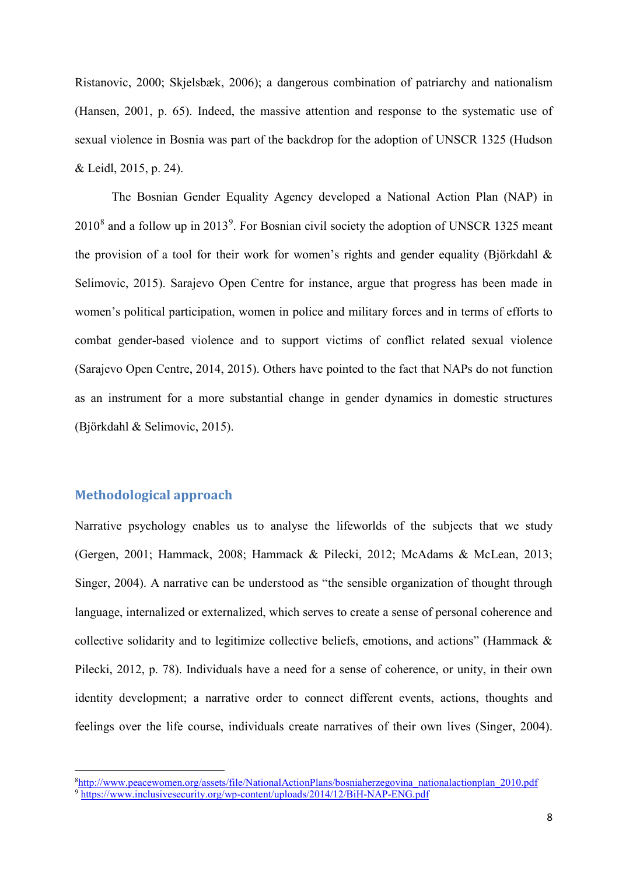Ristanovic, 2000; Skjelsbæk, 2006); a dangerous combination of patriarchy and nationalism (Hansen, 2001, p. 65). Indeed, the massive attention and response to the systematic use of sexual violence in Bosnia was part of the backdrop for the adoption of UNSCR 1325 (Hudson & Leidl, 2015, p. 24).

The Bosnian Gender Equality Agency developed a National Action Plan (NAP) in  $2010<sup>8</sup>$  $2010<sup>8</sup>$  $2010<sup>8</sup>$  and a follow up in 2013<sup>[9](#page-7-1)</sup>. For Bosnian civil society the adoption of UNSCR 1325 meant the provision of a tool for their work for women's rights and gender equality (Björkdahl & Selimovic, 2015). Sarajevo Open Centre for instance, argue that progress has been made in women's political participation, women in police and military forces and in terms of efforts to combat gender-based violence and to support victims of conflict related sexual violence (Sarajevo Open Centre, 2014, 2015). Others have pointed to the fact that NAPs do not function as an instrument for a more substantial change in gender dynamics in domestic structures (Björkdahl & Selimovic, 2015).

## **Methodological approach**

-

Narrative psychology enables us to analyse the lifeworlds of the subjects that we study (Gergen, 2001; Hammack, 2008; Hammack & Pilecki, 2012; McAdams & McLean, 2013; Singer, 2004). A narrative can be understood as "the sensible organization of thought through language, internalized or externalized, which serves to create a sense of personal coherence and collective solidarity and to legitimize collective beliefs, emotions, and actions" (Hammack & Pilecki, 2012, p. 78). Individuals have a need for a sense of coherence, or unity, in their own identity development; a narrative order to connect different events, actions, thoughts and feelings over the life course, individuals create narratives of their own lives (Singer, 2004).

<span id="page-7-1"></span><span id="page-7-0"></span><sup>8</sup> [http://www.peacewomen.org/assets/file/NationalActionPlans/bosniaherzegovina\\_nationalactionplan\\_2010.pdf](http://www.peacewomen.org/assets/file/NationalActionPlans/bosniaherzegovina_nationalactionplan_2010.pdf) <sup>9</sup> <https://www.inclusivesecurity.org/wp-content/uploads/2014/12/BiH-NAP-ENG.pdf>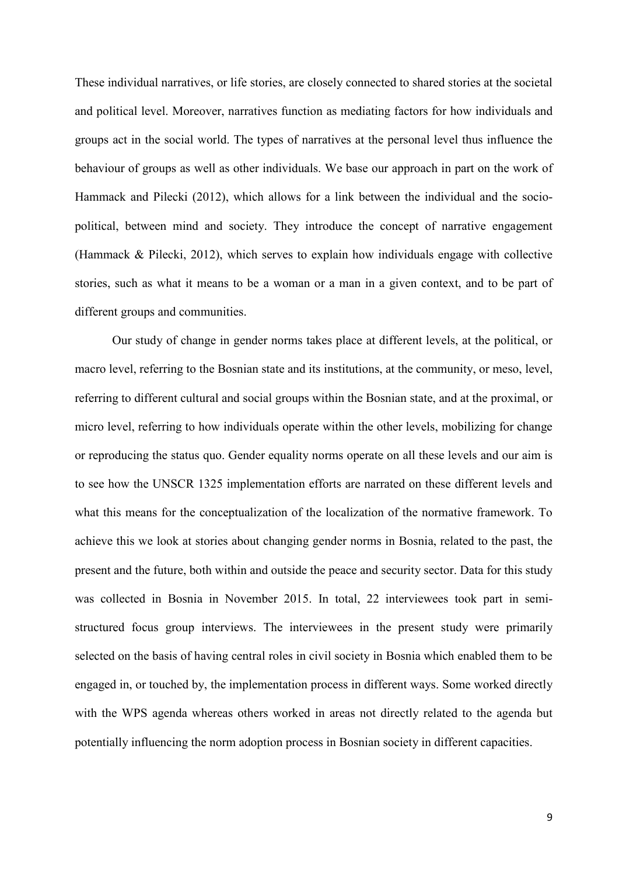These individual narratives, or life stories, are closely connected to shared stories at the societal and political level. Moreover, narratives function as mediating factors for how individuals and groups act in the social world. The types of narratives at the personal level thus influence the behaviour of groups as well as other individuals. We base our approach in part on the work of Hammack and Pilecki (2012), which allows for a link between the individual and the sociopolitical, between mind and society. They introduce the concept of narrative engagement (Hammack & Pilecki, 2012), which serves to explain how individuals engage with collective stories, such as what it means to be a woman or a man in a given context, and to be part of different groups and communities.

Our study of change in gender norms takes place at different levels, at the political, or macro level, referring to the Bosnian state and its institutions, at the community, or meso, level, referring to different cultural and social groups within the Bosnian state, and at the proximal, or micro level, referring to how individuals operate within the other levels, mobilizing for change or reproducing the status quo. Gender equality norms operate on all these levels and our aim is to see how the UNSCR 1325 implementation efforts are narrated on these different levels and what this means for the conceptualization of the localization of the normative framework. To achieve this we look at stories about changing gender norms in Bosnia, related to the past, the present and the future, both within and outside the peace and security sector. Data for this study was collected in Bosnia in November 2015. In total, 22 interviewees took part in semistructured focus group interviews. The interviewees in the present study were primarily selected on the basis of having central roles in civil society in Bosnia which enabled them to be engaged in, or touched by, the implementation process in different ways. Some worked directly with the WPS agenda whereas others worked in areas not directly related to the agenda but potentially influencing the norm adoption process in Bosnian society in different capacities.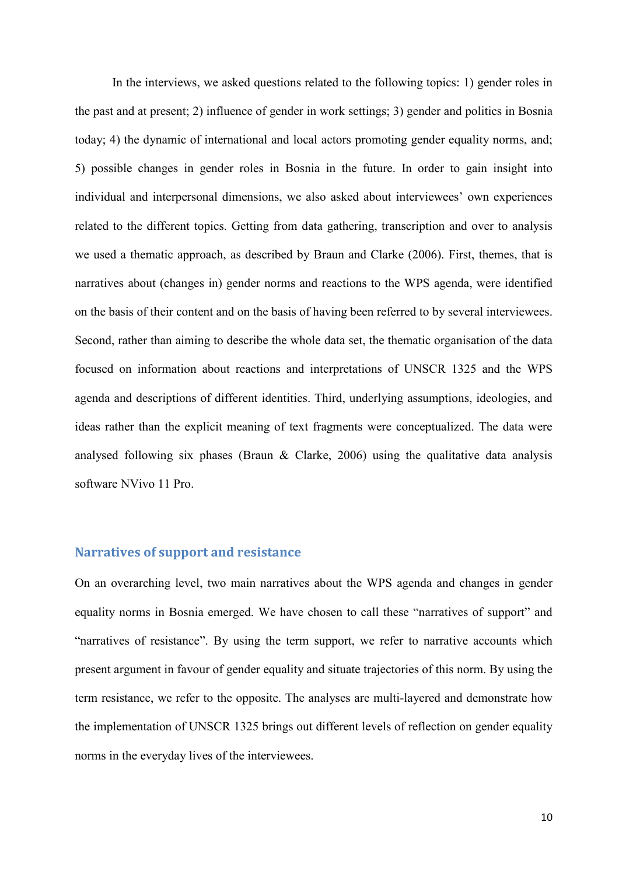In the interviews, we asked questions related to the following topics: 1) gender roles in the past and at present; 2) influence of gender in work settings; 3) gender and politics in Bosnia today; 4) the dynamic of international and local actors promoting gender equality norms, and; 5) possible changes in gender roles in Bosnia in the future. In order to gain insight into individual and interpersonal dimensions, we also asked about interviewees' own experiences related to the different topics. Getting from data gathering, transcription and over to analysis we used a thematic approach, as described by Braun and Clarke (2006). First, themes, that is narratives about (changes in) gender norms and reactions to the WPS agenda, were identified on the basis of their content and on the basis of having been referred to by several interviewees. Second, rather than aiming to describe the whole data set, the thematic organisation of the data focused on information about reactions and interpretations of UNSCR 1325 and the WPS agenda and descriptions of different identities. Third, underlying assumptions, ideologies, and ideas rather than the explicit meaning of text fragments were conceptualized. The data were analysed following six phases (Braun & Clarke, 2006) using the qualitative data analysis software NVivo 11 Pro.

## **Narratives of support and resistance**

On an overarching level, two main narratives about the WPS agenda and changes in gender equality norms in Bosnia emerged. We have chosen to call these "narratives of support" and "narratives of resistance". By using the term support, we refer to narrative accounts which present argument in favour of gender equality and situate trajectories of this norm. By using the term resistance, we refer to the opposite. The analyses are multi-layered and demonstrate how the implementation of UNSCR 1325 brings out different levels of reflection on gender equality norms in the everyday lives of the interviewees.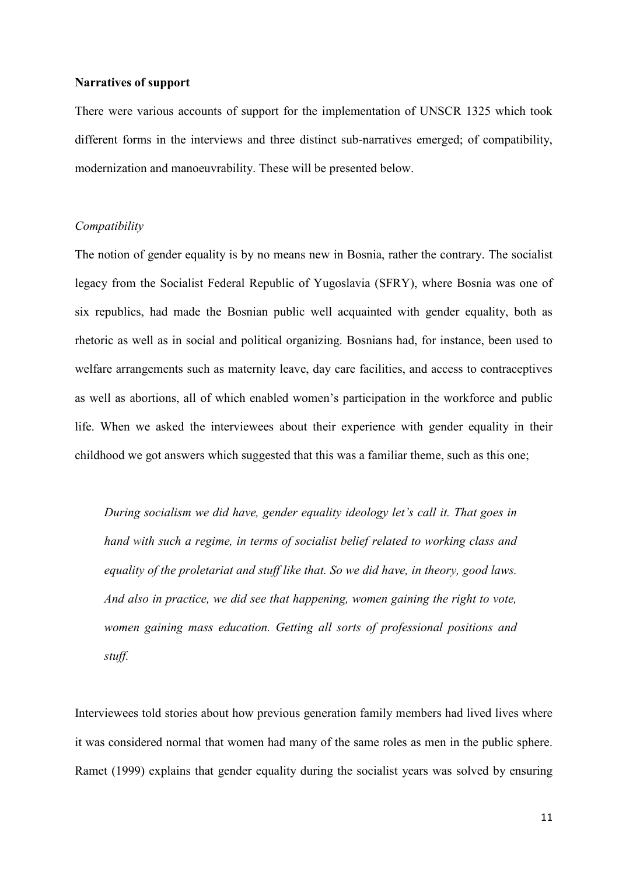#### **Narratives of support**

There were various accounts of support for the implementation of UNSCR 1325 which took different forms in the interviews and three distinct sub-narratives emerged; of compatibility, modernization and manoeuvrability. These will be presented below.

#### *Compatibility*

The notion of gender equality is by no means new in Bosnia, rather the contrary. The socialist legacy from the Socialist Federal Republic of Yugoslavia (SFRY), where Bosnia was one of six republics, had made the Bosnian public well acquainted with gender equality, both as rhetoric as well as in social and political organizing. Bosnians had, for instance, been used to welfare arrangements such as maternity leave, day care facilities, and access to contraceptives as well as abortions, all of which enabled women's participation in the workforce and public life. When we asked the interviewees about their experience with gender equality in their childhood we got answers which suggested that this was a familiar theme, such as this one;

*During socialism we did have, gender equality ideology let's call it. That goes in hand with such a regime, in terms of socialist belief related to working class and equality of the proletariat and stuff like that. So we did have, in theory, good laws. And also in practice, we did see that happening, women gaining the right to vote, women gaining mass education. Getting all sorts of professional positions and stuff.*

Interviewees told stories about how previous generation family members had lived lives where it was considered normal that women had many of the same roles as men in the public sphere. Ramet (1999) explains that gender equality during the socialist years was solved by ensuring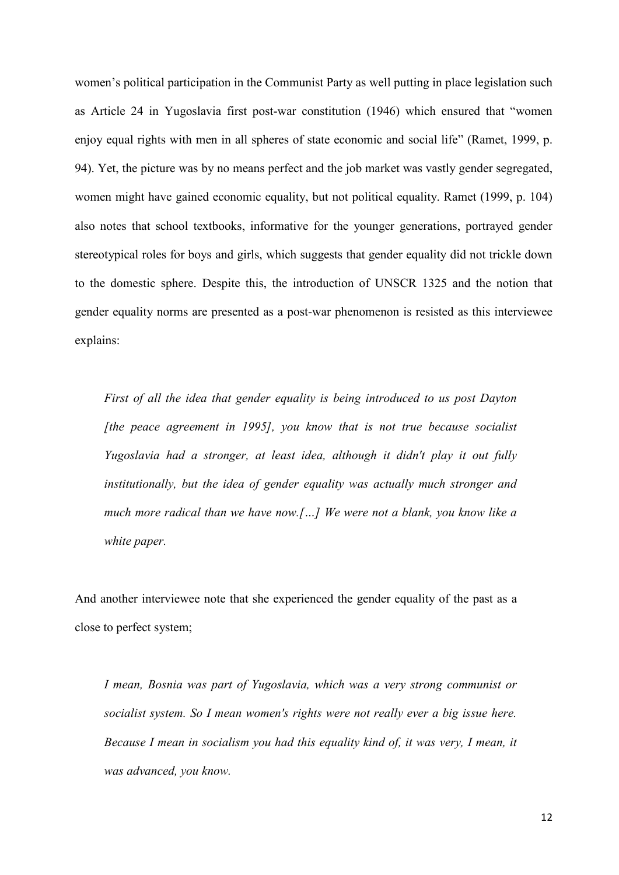women's political participation in the Communist Party as well putting in place legislation such as Article 24 in Yugoslavia first post-war constitution (1946) which ensured that "women enjoy equal rights with men in all spheres of state economic and social life" (Ramet, 1999, p. 94). Yet, the picture was by no means perfect and the job market was vastly gender segregated, women might have gained economic equality, but not political equality. Ramet (1999, p. 104) also notes that school textbooks, informative for the younger generations, portrayed gender stereotypical roles for boys and girls, which suggests that gender equality did not trickle down to the domestic sphere. Despite this, the introduction of UNSCR 1325 and the notion that gender equality norms are presented as a post-war phenomenon is resisted as this interviewee explains:

*First of all the idea that gender equality is being introduced to us post Dayton [the peace agreement in 1995], you know that is not true because socialist Yugoslavia had a stronger, at least idea, although it didn't play it out fully institutionally, but the idea of gender equality was actually much stronger and much more radical than we have now.[…] We were not a blank, you know like a white paper.*

And another interviewee note that she experienced the gender equality of the past as a close to perfect system;

*I mean, Bosnia was part of Yugoslavia, which was a very strong communist or socialist system. So I mean women's rights were not really ever a big issue here. Because I mean in socialism you had this equality kind of, it was very, I mean, it was advanced, you know.*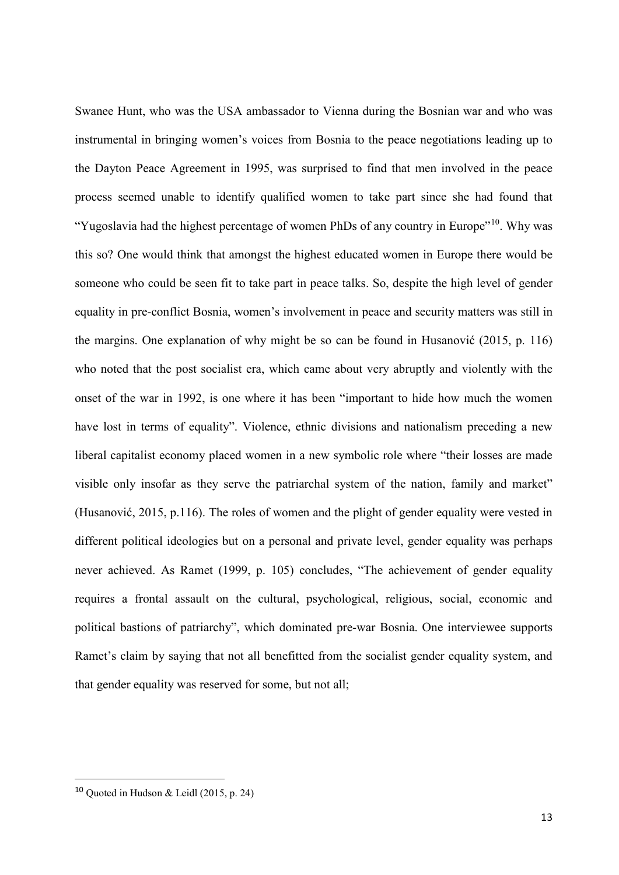Swanee Hunt, who was the USA ambassador to Vienna during the Bosnian war and who was instrumental in bringing women's voices from Bosnia to the peace negotiations leading up to the Dayton Peace Agreement in 1995, was surprised to find that men involved in the peace process seemed unable to identify qualified women to take part since she had found that "Yugoslavia had the highest percentage of women PhDs of any country in Europe"<sup>10</sup>. Why was this so? One would think that amongst the highest educated women in Europe there would be someone who could be seen fit to take part in peace talks. So, despite the high level of gender equality in pre-conflict Bosnia, women's involvement in peace and security matters was still in the margins. One explanation of why might be so can be found in Husanović (2015, p. 116) who noted that the post socialist era, which came about very abruptly and violently with the onset of the war in 1992, is one where it has been "important to hide how much the women have lost in terms of equality". Violence, ethnic divisions and nationalism preceding a new liberal capitalist economy placed women in a new symbolic role where "their losses are made visible only insofar as they serve the patriarchal system of the nation, family and market" (Husanović, 2015, p.116). The roles of women and the plight of gender equality were vested in different political ideologies but on a personal and private level, gender equality was perhaps never achieved. As Ramet (1999, p. 105) concludes, "The achievement of gender equality requires a frontal assault on the cultural, psychological, religious, social, economic and political bastions of patriarchy", which dominated pre-war Bosnia. One interviewee supports Ramet's claim by saying that not all benefitted from the socialist gender equality system, and that gender equality was reserved for some, but not all;

<span id="page-12-0"></span> $10$  Quoted in Hudson & Leidl (2015, p. 24)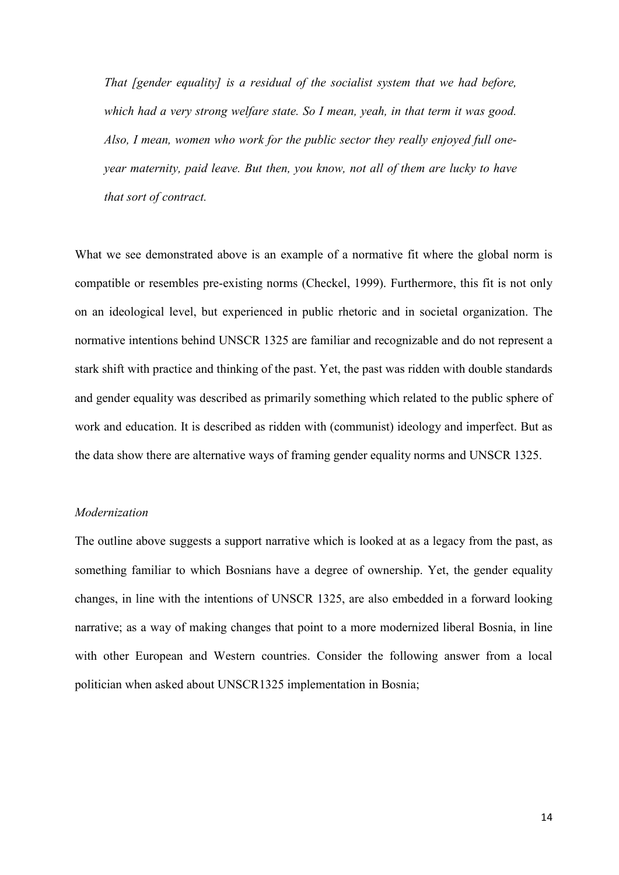*That [gender equality] is a residual of the socialist system that we had before, which had a very strong welfare state. So I mean, yeah, in that term it was good. Also, I mean, women who work for the public sector they really enjoyed full oneyear maternity, paid leave. But then, you know, not all of them are lucky to have that sort of contract.*

What we see demonstrated above is an example of a normative fit where the global norm is compatible or resembles pre-existing norms (Checkel, 1999). Furthermore, this fit is not only on an ideological level, but experienced in public rhetoric and in societal organization. The normative intentions behind UNSCR 1325 are familiar and recognizable and do not represent a stark shift with practice and thinking of the past. Yet, the past was ridden with double standards and gender equality was described as primarily something which related to the public sphere of work and education. It is described as ridden with (communist) ideology and imperfect. But as the data show there are alternative ways of framing gender equality norms and UNSCR 1325.

#### *Modernization*

The outline above suggests a support narrative which is looked at as a legacy from the past, as something familiar to which Bosnians have a degree of ownership. Yet, the gender equality changes, in line with the intentions of UNSCR 1325, are also embedded in a forward looking narrative; as a way of making changes that point to a more modernized liberal Bosnia, in line with other European and Western countries. Consider the following answer from a local politician when asked about UNSCR1325 implementation in Bosnia;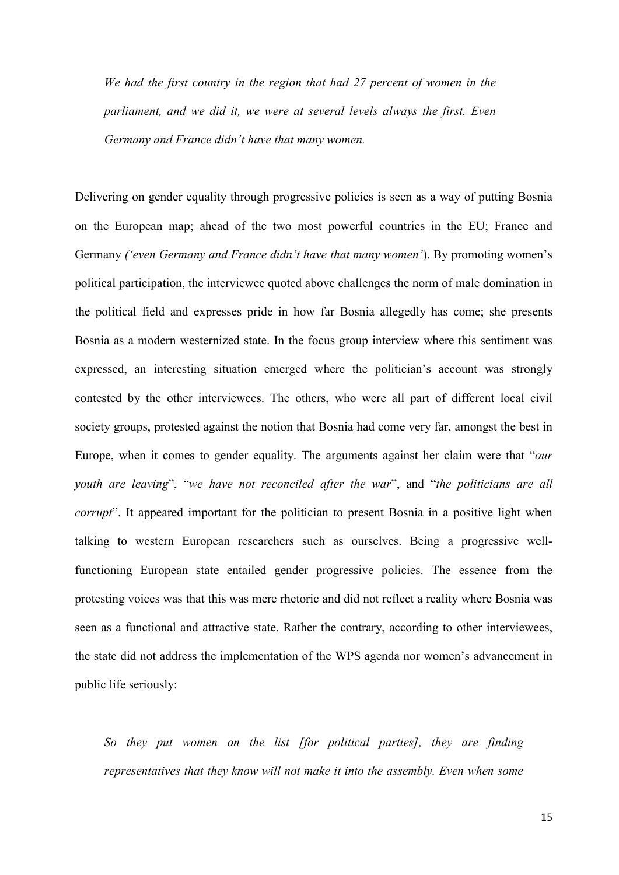*We had the first country in the region that had 27 percent of women in the parliament, and we did it, we were at several levels always the first. Even Germany and France didn't have that many women.* 

Delivering on gender equality through progressive policies is seen as a way of putting Bosnia on the European map; ahead of the two most powerful countries in the EU; France and Germany *('even Germany and France didn't have that many women'*). By promoting women's political participation, the interviewee quoted above challenges the norm of male domination in the political field and expresses pride in how far Bosnia allegedly has come; she presents Bosnia as a modern westernized state. In the focus group interview where this sentiment was expressed, an interesting situation emerged where the politician's account was strongly contested by the other interviewees. The others, who were all part of different local civil society groups, protested against the notion that Bosnia had come very far, amongst the best in Europe, when it comes to gender equality. The arguments against her claim were that "*our youth are leaving*", "*we have not reconciled after the war*", and "*the politicians are all corrupt*". It appeared important for the politician to present Bosnia in a positive light when talking to western European researchers such as ourselves. Being a progressive wellfunctioning European state entailed gender progressive policies. The essence from the protesting voices was that this was mere rhetoric and did not reflect a reality where Bosnia was seen as a functional and attractive state. Rather the contrary, according to other interviewees, the state did not address the implementation of the WPS agenda nor women's advancement in public life seriously:

*So they put women on the list [for political parties], they are finding representatives that they know will not make it into the assembly. Even when some*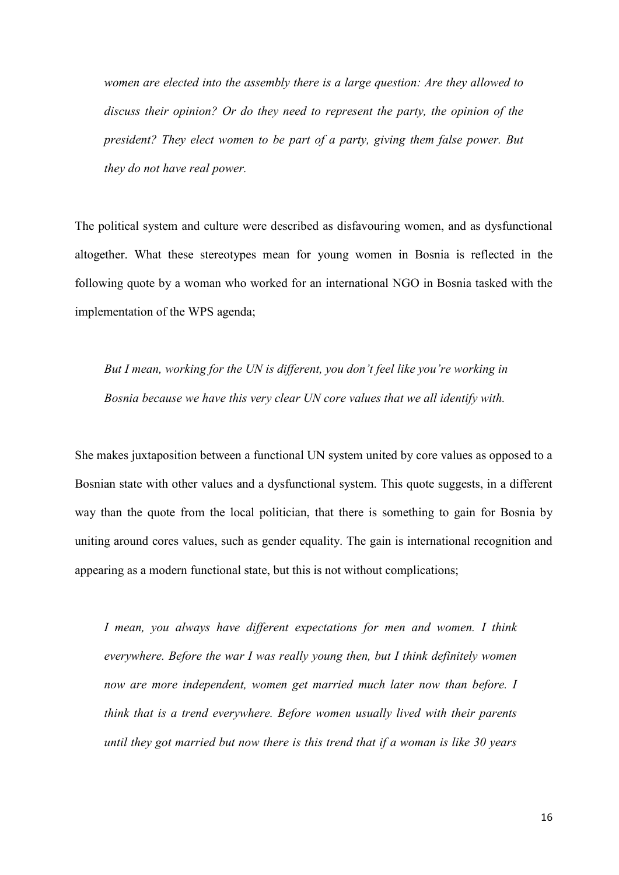*women are elected into the assembly there is a large question: Are they allowed to discuss their opinion? Or do they need to represent the party, the opinion of the president? They elect women to be part of a party, giving them false power. But they do not have real power.*

The political system and culture were described as disfavouring women, and as dysfunctional altogether. What these stereotypes mean for young women in Bosnia is reflected in the following quote by a woman who worked for an international NGO in Bosnia tasked with the implementation of the WPS agenda;

*But I mean, working for the UN is different, you don't feel like you're working in Bosnia because we have this very clear UN core values that we all identify with.* 

She makes juxtaposition between a functional UN system united by core values as opposed to a Bosnian state with other values and a dysfunctional system. This quote suggests, in a different way than the quote from the local politician, that there is something to gain for Bosnia by uniting around cores values, such as gender equality. The gain is international recognition and appearing as a modern functional state, but this is not without complications;

*I mean, you always have different expectations for men and women. I think everywhere. Before the war I was really young then, but I think definitely women now are more independent, women get married much later now than before. I think that is a trend everywhere. Before women usually lived with their parents until they got married but now there is this trend that if a woman is like 30 years*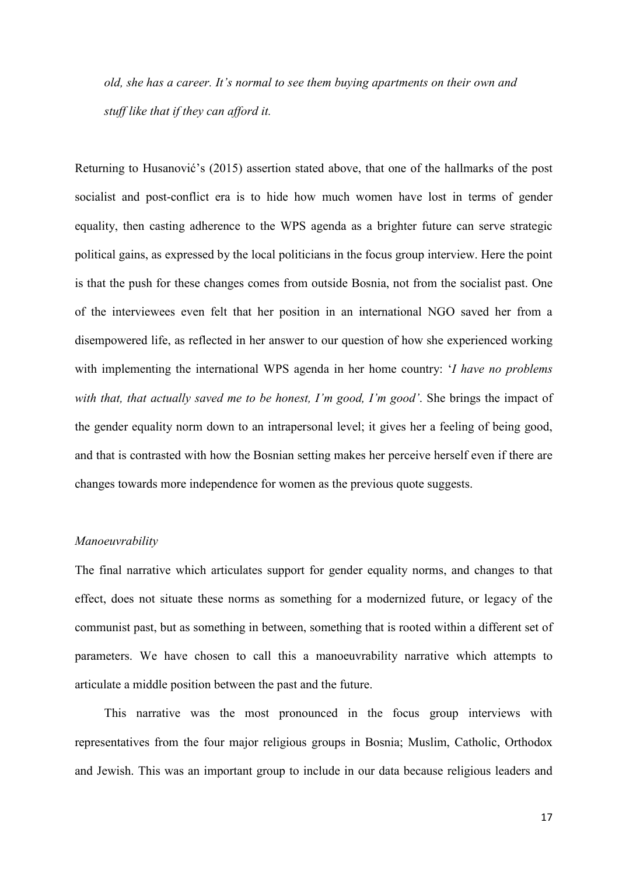*old, she has a career. It's normal to see them buying apartments on their own and stuff like that if they can afford it.*

Returning to Husanović's (2015) assertion stated above, that one of the hallmarks of the post socialist and post-conflict era is to hide how much women have lost in terms of gender equality, then casting adherence to the WPS agenda as a brighter future can serve strategic political gains, as expressed by the local politicians in the focus group interview. Here the point is that the push for these changes comes from outside Bosnia, not from the socialist past. One of the interviewees even felt that her position in an international NGO saved her from a disempowered life, as reflected in her answer to our question of how she experienced working with implementing the international WPS agenda in her home country: '*I have no problems with that, that actually saved me to be honest, I'm good, I'm good'*. She brings the impact of the gender equality norm down to an intrapersonal level; it gives her a feeling of being good, and that is contrasted with how the Bosnian setting makes her perceive herself even if there are changes towards more independence for women as the previous quote suggests.

#### *Manoeuvrability*

The final narrative which articulates support for gender equality norms, and changes to that effect, does not situate these norms as something for a modernized future, or legacy of the communist past, but as something in between, something that is rooted within a different set of parameters. We have chosen to call this a manoeuvrability narrative which attempts to articulate a middle position between the past and the future.

This narrative was the most pronounced in the focus group interviews with representatives from the four major religious groups in Bosnia; Muslim, Catholic, Orthodox and Jewish. This was an important group to include in our data because religious leaders and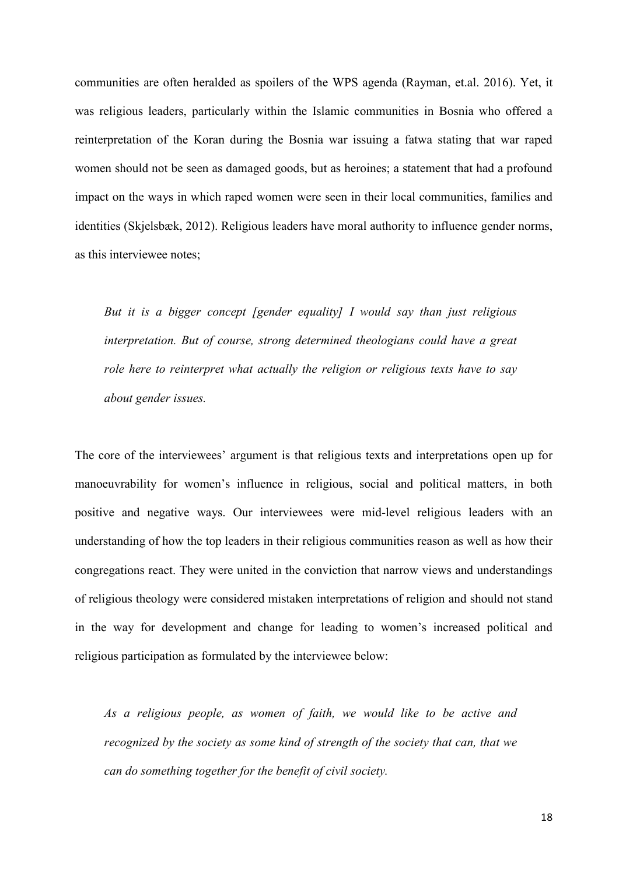communities are often heralded as spoilers of the WPS agenda (Rayman, et.al. 2016). Yet, it was religious leaders, particularly within the Islamic communities in Bosnia who offered a reinterpretation of the Koran during the Bosnia war issuing a fatwa stating that war raped women should not be seen as damaged goods, but as heroines; a statement that had a profound impact on the ways in which raped women were seen in their local communities, families and identities (Skjelsbæk, 2012). Religious leaders have moral authority to influence gender norms, as this interviewee notes;

*But it is a bigger concept [gender equality] I would say than just religious interpretation. But of course, strong determined theologians could have a great role here to reinterpret what actually the religion or religious texts have to say about gender issues.*

The core of the interviewees' argument is that religious texts and interpretations open up for manoeuvrability for women's influence in religious, social and political matters, in both positive and negative ways. Our interviewees were mid-level religious leaders with an understanding of how the top leaders in their religious communities reason as well as how their congregations react. They were united in the conviction that narrow views and understandings of religious theology were considered mistaken interpretations of religion and should not stand in the way for development and change for leading to women's increased political and religious participation as formulated by the interviewee below:

*As a religious people, as women of faith, we would like to be active and recognized by the society as some kind of strength of the society that can, that we can do something together for the benefit of civil society.*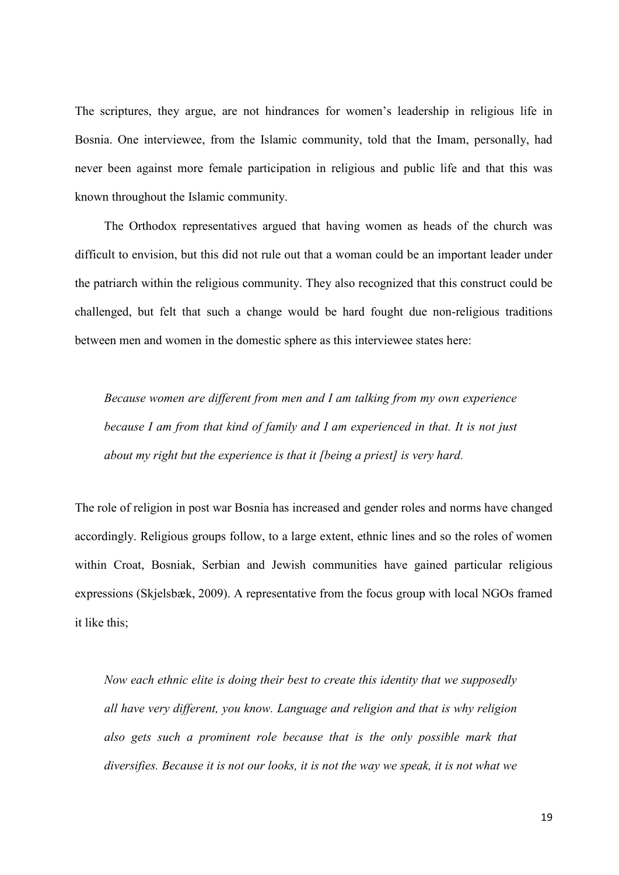The scriptures, they argue, are not hindrances for women's leadership in religious life in Bosnia. One interviewee, from the Islamic community, told that the Imam, personally, had never been against more female participation in religious and public life and that this was known throughout the Islamic community.

The Orthodox representatives argued that having women as heads of the church was difficult to envision, but this did not rule out that a woman could be an important leader under the patriarch within the religious community. They also recognized that this construct could be challenged, but felt that such a change would be hard fought due non-religious traditions between men and women in the domestic sphere as this interviewee states here:

*Because women are different from men and I am talking from my own experience because I am from that kind of family and I am experienced in that. It is not just about my right but the experience is that it [being a priest] is very hard*.

The role of religion in post war Bosnia has increased and gender roles and norms have changed accordingly. Religious groups follow, to a large extent, ethnic lines and so the roles of women within Croat, Bosniak, Serbian and Jewish communities have gained particular religious expressions (Skjelsbæk, 2009). A representative from the focus group with local NGOs framed it like this;

*Now each ethnic elite is doing their best to create this identity that we supposedly all have very different, you know. Language and religion and that is why religion also gets such a prominent role because that is the only possible mark that diversifies. Because it is not our looks, it is not the way we speak, it is not what we*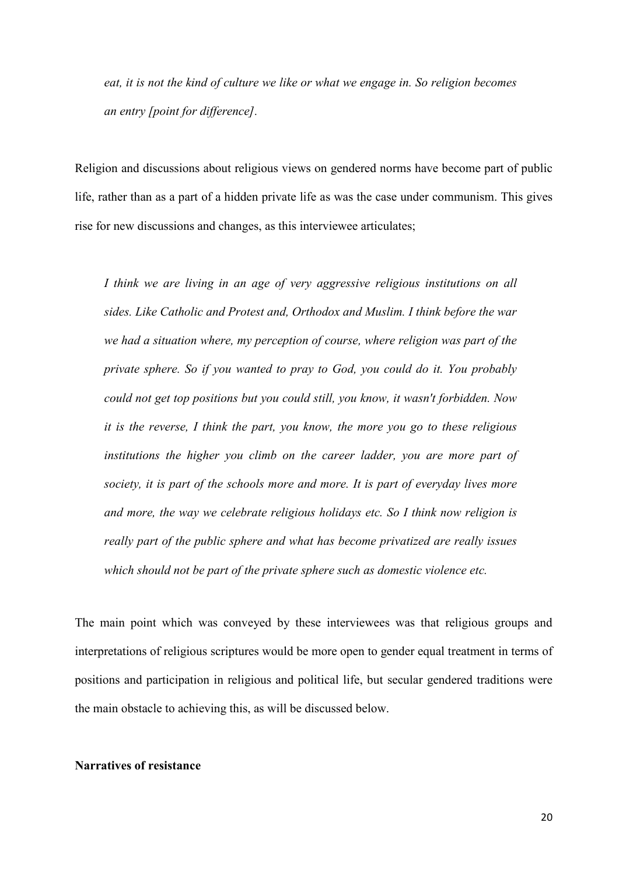*eat, it is not the kind of culture we like or what we engage in. So religion becomes an entry [point for difference].*

Religion and discussions about religious views on gendered norms have become part of public life, rather than as a part of a hidden private life as was the case under communism. This gives rise for new discussions and changes, as this interviewee articulates;

*I think we are living in an age of very aggressive religious institutions on all sides. Like Catholic and Protest and, Orthodox and Muslim. I think before the war we had a situation where, my perception of course, where religion was part of the private sphere. So if you wanted to pray to God, you could do it. You probably could not get top positions but you could still, you know, it wasn't forbidden. Now it is the reverse, I think the part, you know, the more you go to these religious institutions the higher you climb on the career ladder, you are more part of society, it is part of the schools more and more. It is part of everyday lives more and more, the way we celebrate religious holidays etc. So I think now religion is really part of the public sphere and what has become privatized are really issues which should not be part of the private sphere such as domestic violence etc.* 

The main point which was conveyed by these interviewees was that religious groups and interpretations of religious scriptures would be more open to gender equal treatment in terms of positions and participation in religious and political life, but secular gendered traditions were the main obstacle to achieving this, as will be discussed below.

#### **Narratives of resistance**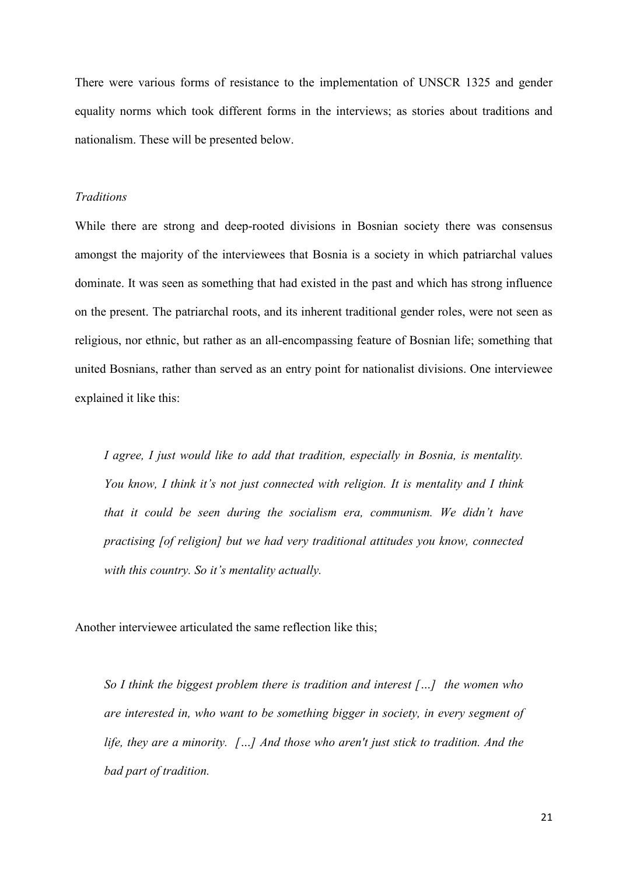There were various forms of resistance to the implementation of UNSCR 1325 and gender equality norms which took different forms in the interviews; as stories about traditions and nationalism. These will be presented below.

#### *Traditions*

While there are strong and deep-rooted divisions in Bosnian society there was consensus amongst the majority of the interviewees that Bosnia is a society in which patriarchal values dominate. It was seen as something that had existed in the past and which has strong influence on the present. The patriarchal roots, and its inherent traditional gender roles, were not seen as religious, nor ethnic, but rather as an all-encompassing feature of Bosnian life; something that united Bosnians, rather than served as an entry point for nationalist divisions. One interviewee explained it like this:

*I agree, I just would like to add that tradition, especially in Bosnia, is mentality. You know, I think it's not just connected with religion. It is mentality and I think that it could be seen during the socialism era, communism. We didn't have practising [of religion] but we had very traditional attitudes you know, connected with this country. So it's mentality actually.*

Another interviewee articulated the same reflection like this;

*So I think the biggest problem there is tradition and interest […] the women who are interested in, who want to be something bigger in society, in every segment of life, they are a minority. […] And those who aren't just stick to tradition. And the bad part of tradition.*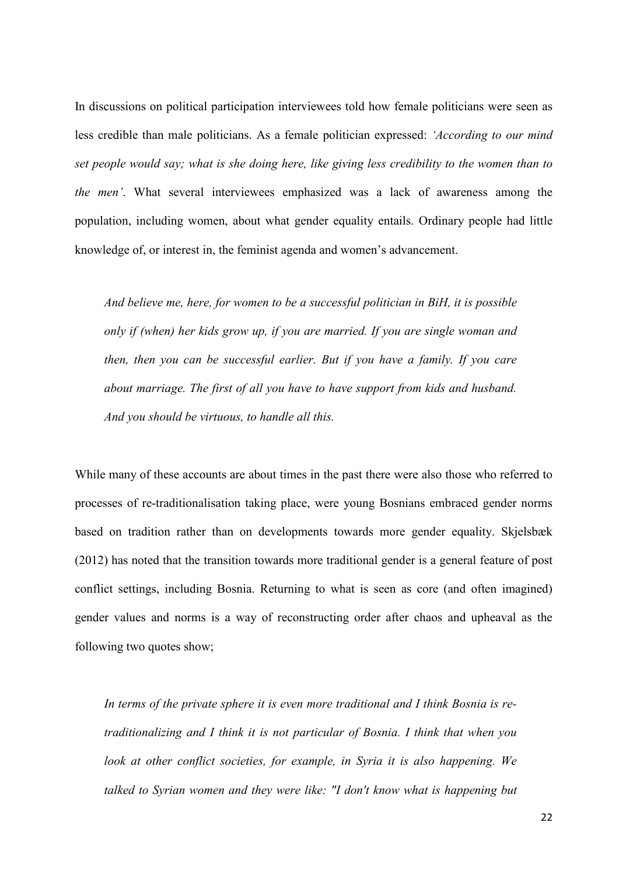In discussions on political participation interviewees told how female politicians were seen as less credible than male politicians. As a female politician expressed: *'According to our mind set people would say; what is she doing here, like giving less credibility to the women than to the men'*. What several interviewees emphasized was a lack of awareness among the population, including women, about what gender equality entails. Ordinary people had little knowledge of, or interest in, the feminist agenda and women's advancement.

*And believe me, here, for women to be a successful politician in BiH, it is possible only if (when) her kids grow up, if you are married. If you are single woman and then, then you can be successful earlier. But if you have a family. If you care about marriage. The first of all you have to have support from kids and husband. And you should be virtuous, to handle all this.* 

While many of these accounts are about times in the past there were also those who referred to processes of re-traditionalisation taking place, were young Bosnians embraced gender norms based on tradition rather than on developments towards more gender equality. Skjelsbæk (2012) has noted that the transition towards more traditional gender is a general feature of post conflict settings, including Bosnia. Returning to what is seen as core (and often imagined) gender values and norms is a way of reconstructing order after chaos and upheaval as the following two quotes show;

*In terms of the private sphere it is even more traditional and I think Bosnia is retraditionalizing and I think it is not particular of Bosnia. I think that when you look at other conflict societies, for example, in Syria it is also happening. We talked to Syrian women and they were like: "I don't know what is happening but*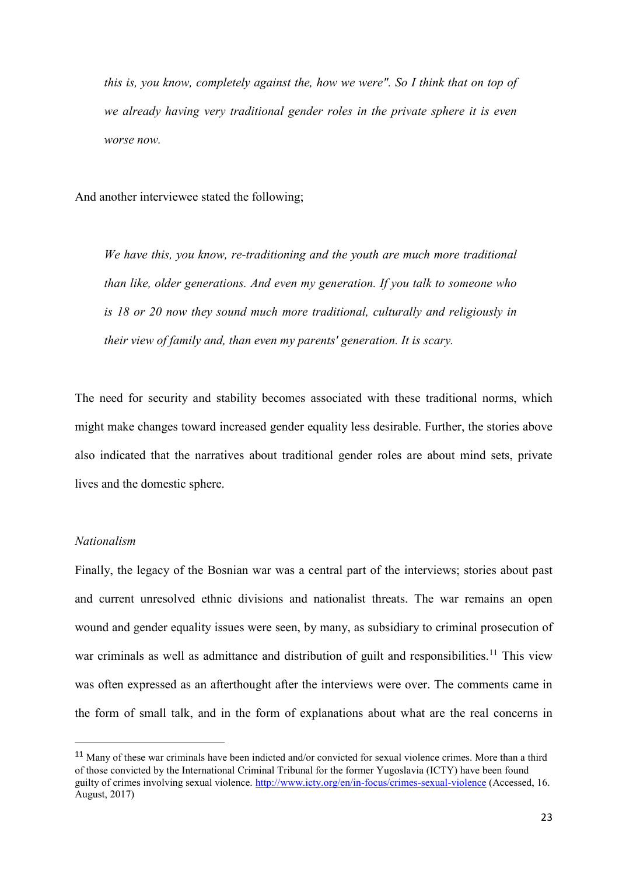*this is, you know, completely against the, how we were". So I think that on top of we already having very traditional gender roles in the private sphere it is even worse now.*

And another interviewee stated the following;

*We have this, you know, re-traditioning and the youth are much more traditional than like, older generations. And even my generation. If you talk to someone who is 18 or 20 now they sound much more traditional, culturally and religiously in their view of family and, than even my parents' generation. It is scary.*

The need for security and stability becomes associated with these traditional norms, which might make changes toward increased gender equality less desirable. Further, the stories above also indicated that the narratives about traditional gender roles are about mind sets, private lives and the domestic sphere.

### *Nationalism*

Finally, the legacy of the Bosnian war was a central part of the interviews; stories about past and current unresolved ethnic divisions and nationalist threats. The war remains an open wound and gender equality issues were seen, by many, as subsidiary to criminal prosecution of war criminals as well as admittance and distribution of guilt and responsibilities.<sup>[11](#page-22-0)</sup> This view was often expressed as an afterthought after the interviews were over. The comments came in the form of small talk, and in the form of explanations about what are the real concerns in

<span id="page-22-0"></span> <sup>11</sup> Many of these war criminals have been indicted and/or convicted for sexual violence crimes. More than a third of those convicted by the International Criminal Tribunal for the former Yugoslavia (ICTY) have been found guilty of crimes involving sexual violence. <http://www.icty.org/en/in-focus/crimes-sexual-violence> (Accessed, 16. August, 2017)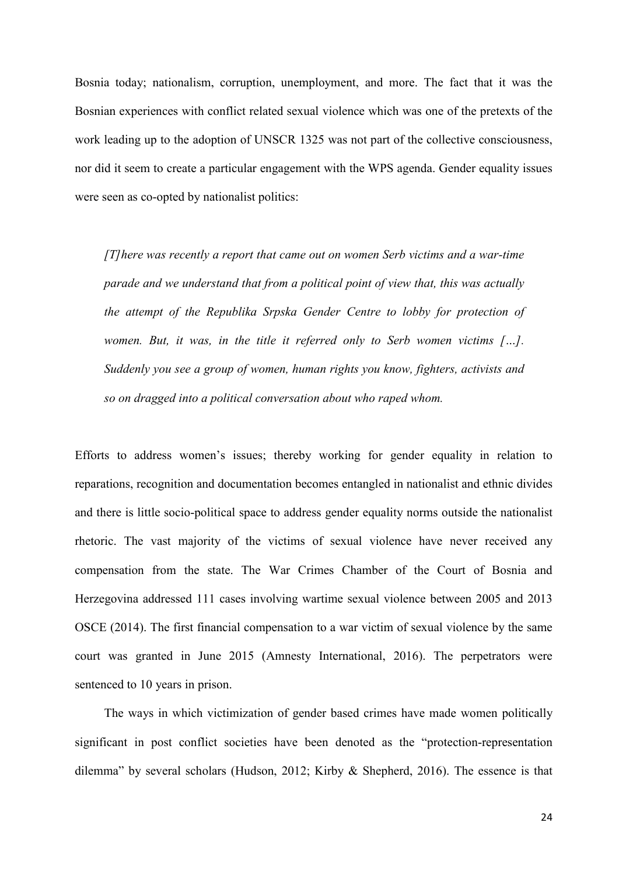Bosnia today; nationalism, corruption, unemployment, and more. The fact that it was the Bosnian experiences with conflict related sexual violence which was one of the pretexts of the work leading up to the adoption of UNSCR 1325 was not part of the collective consciousness, nor did it seem to create a particular engagement with the WPS agenda. Gender equality issues were seen as co-opted by nationalist politics:

*[T]here was recently a report that came out on women Serb victims and a war-time parade and we understand that from a political point of view that, this was actually the attempt of the Republika Srpska Gender Centre to lobby for protection of women. But, it was, in the title it referred only to Serb women victims […]. Suddenly you see a group of women, human rights you know, fighters, activists and so on dragged into a political conversation about who raped whom.*

Efforts to address women's issues; thereby working for gender equality in relation to reparations, recognition and documentation becomes entangled in nationalist and ethnic divides and there is little socio-political space to address gender equality norms outside the nationalist rhetoric. The vast majority of the victims of sexual violence have never received any compensation from the state. The War Crimes Chamber of the Court of Bosnia and Herzegovina addressed 111 cases involving wartime sexual violence between 2005 and 2013 OSCE (2014). The first financial compensation to a war victim of sexual violence by the same court was granted in June 2015 (Amnesty International, 2016). The perpetrators were sentenced to 10 years in prison.

The ways in which victimization of gender based crimes have made women politically significant in post conflict societies have been denoted as the "protection-representation dilemma" by several scholars (Hudson, 2012; Kirby & Shepherd, 2016). The essence is that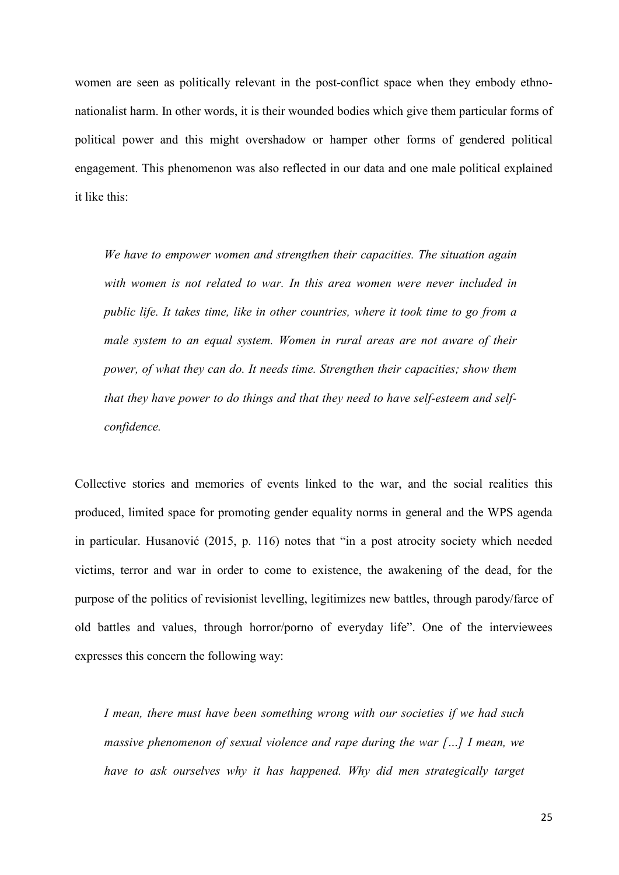women are seen as politically relevant in the post-conflict space when they embody ethnonationalist harm. In other words, it is their wounded bodies which give them particular forms of political power and this might overshadow or hamper other forms of gendered political engagement. This phenomenon was also reflected in our data and one male political explained it like this:

*We have to empower women and strengthen their capacities. The situation again with women is not related to war. In this area women were never included in public life. It takes time, like in other countries, where it took time to go from a male system to an equal system. Women in rural areas are not aware of their power, of what they can do. It needs time. Strengthen their capacities; show them that they have power to do things and that they need to have self-esteem and selfconfidence.*

Collective stories and memories of events linked to the war, and the social realities this produced, limited space for promoting gender equality norms in general and the WPS agenda in particular. Husanović (2015, p. 116) notes that "in a post atrocity society which needed victims, terror and war in order to come to existence, the awakening of the dead, for the purpose of the politics of revisionist levelling, legitimizes new battles, through parody/farce of old battles and values, through horror/porno of everyday life". One of the interviewees expresses this concern the following way:

*I mean, there must have been something wrong with our societies if we had such massive phenomenon of sexual violence and rape during the war […] I mean, we have to ask ourselves why it has happened. Why did men strategically target*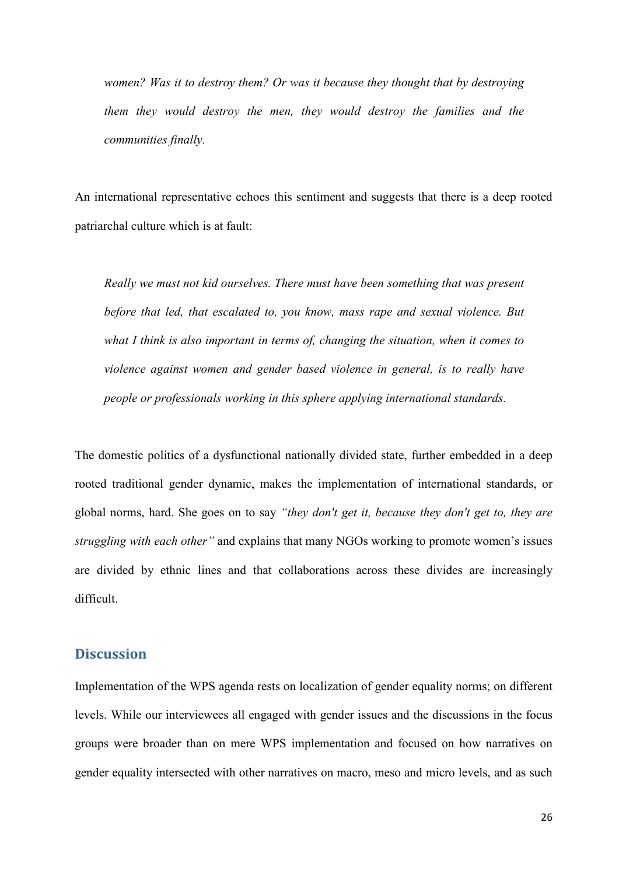*women? Was it to destroy them? Or was it because they thought that by destroying them they would destroy the men, they would destroy the families and the communities finally.*

An international representative echoes this sentiment and suggests that there is a deep rooted patriarchal culture which is at fault:

*Really we must not kid ourselves. There must have been something that was present before that led, that escalated to, you know, mass rape and sexual violence. But what I think is also important in terms of, changing the situation, when it comes to violence against women and gender based violence in general, is to really have people or professionals working in this sphere applying international standards*.

The domestic politics of a dysfunctional nationally divided state, further embedded in a deep rooted traditional gender dynamic, makes the implementation of international standards, or global norms, hard. She goes on to say *"they don't get it, because they don't get to, they are struggling with each other"* and explains that many NGOs working to promote women's issues are divided by ethnic lines and that collaborations across these divides are increasingly difficult.

## **Discussion**

Implementation of the WPS agenda rests on localization of gender equality norms; on different levels. While our interviewees all engaged with gender issues and the discussions in the focus groups were broader than on mere WPS implementation and focused on how narratives on gender equality intersected with other narratives on macro, meso and micro levels, and as such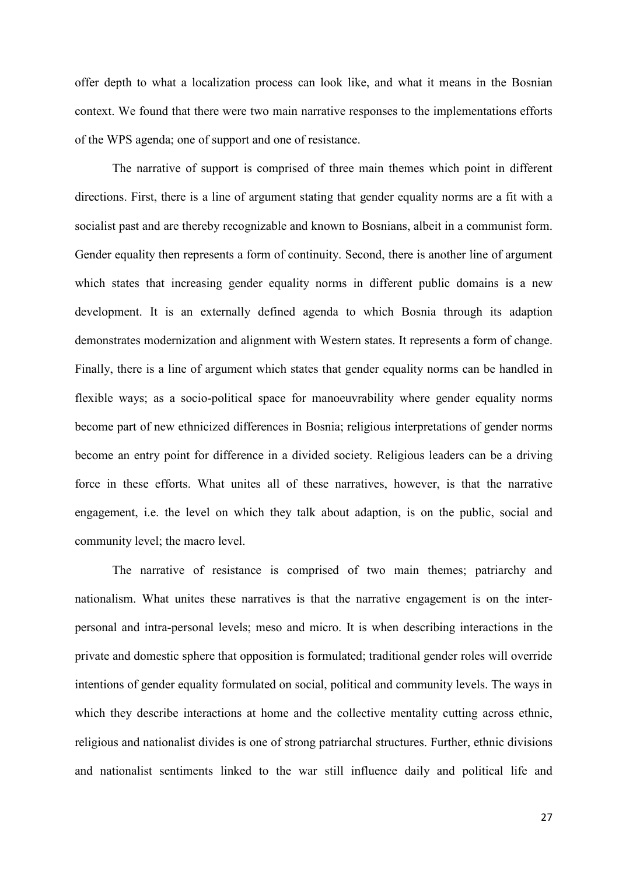offer depth to what a localization process can look like, and what it means in the Bosnian context. We found that there were two main narrative responses to the implementations efforts of the WPS agenda; one of support and one of resistance.

The narrative of support is comprised of three main themes which point in different directions. First, there is a line of argument stating that gender equality norms are a fit with a socialist past and are thereby recognizable and known to Bosnians, albeit in a communist form. Gender equality then represents a form of continuity. Second, there is another line of argument which states that increasing gender equality norms in different public domains is a new development. It is an externally defined agenda to which Bosnia through its adaption demonstrates modernization and alignment with Western states. It represents a form of change. Finally, there is a line of argument which states that gender equality norms can be handled in flexible ways; as a socio-political space for manoeuvrability where gender equality norms become part of new ethnicized differences in Bosnia; religious interpretations of gender norms become an entry point for difference in a divided society. Religious leaders can be a driving force in these efforts. What unites all of these narratives, however, is that the narrative engagement, i.e. the level on which they talk about adaption, is on the public, social and community level; the macro level.

The narrative of resistance is comprised of two main themes; patriarchy and nationalism. What unites these narratives is that the narrative engagement is on the interpersonal and intra-personal levels; meso and micro. It is when describing interactions in the private and domestic sphere that opposition is formulated; traditional gender roles will override intentions of gender equality formulated on social, political and community levels. The ways in which they describe interactions at home and the collective mentality cutting across ethnic, religious and nationalist divides is one of strong patriarchal structures. Further, ethnic divisions and nationalist sentiments linked to the war still influence daily and political life and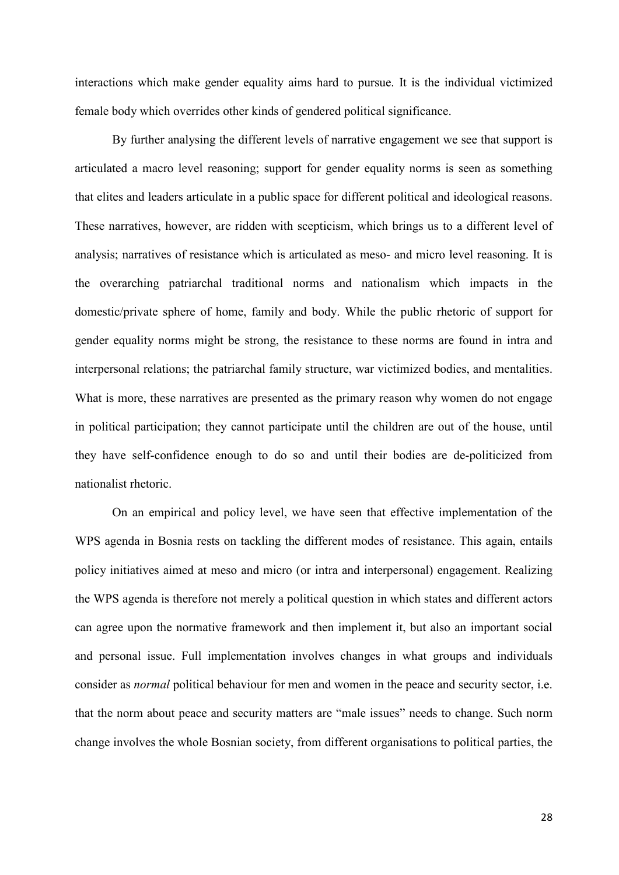interactions which make gender equality aims hard to pursue. It is the individual victimized female body which overrides other kinds of gendered political significance.

By further analysing the different levels of narrative engagement we see that support is articulated a macro level reasoning; support for gender equality norms is seen as something that elites and leaders articulate in a public space for different political and ideological reasons. These narratives, however, are ridden with scepticism, which brings us to a different level of analysis; narratives of resistance which is articulated as meso- and micro level reasoning. It is the overarching patriarchal traditional norms and nationalism which impacts in the domestic/private sphere of home, family and body. While the public rhetoric of support for gender equality norms might be strong, the resistance to these norms are found in intra and interpersonal relations; the patriarchal family structure, war victimized bodies, and mentalities. What is more, these narratives are presented as the primary reason why women do not engage in political participation; they cannot participate until the children are out of the house, until they have self-confidence enough to do so and until their bodies are de-politicized from nationalist rhetoric.

On an empirical and policy level, we have seen that effective implementation of the WPS agenda in Bosnia rests on tackling the different modes of resistance. This again, entails policy initiatives aimed at meso and micro (or intra and interpersonal) engagement. Realizing the WPS agenda is therefore not merely a political question in which states and different actors can agree upon the normative framework and then implement it, but also an important social and personal issue. Full implementation involves changes in what groups and individuals consider as *normal* political behaviour for men and women in the peace and security sector, i.e. that the norm about peace and security matters are "male issues" needs to change. Such norm change involves the whole Bosnian society, from different organisations to political parties, the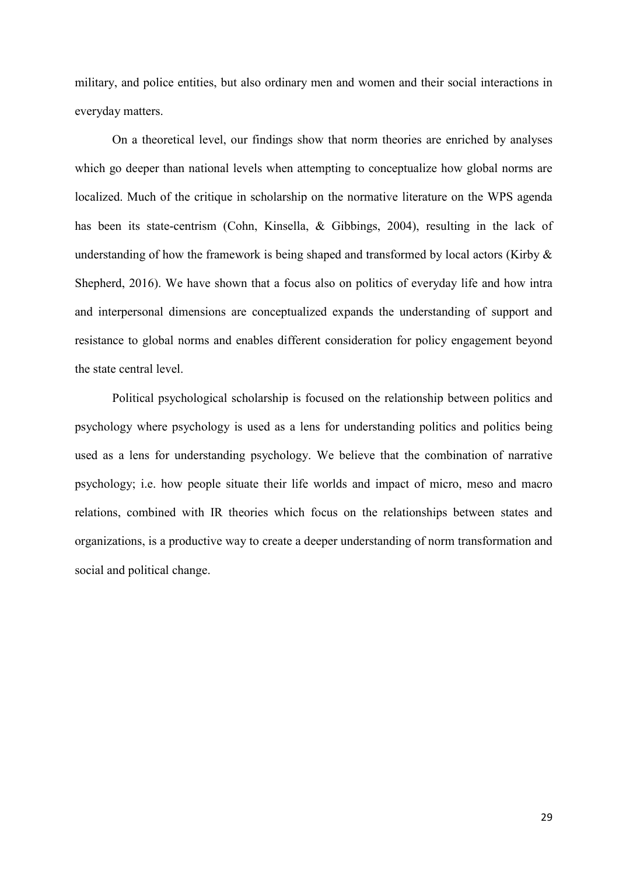military, and police entities, but also ordinary men and women and their social interactions in everyday matters.

On a theoretical level, our findings show that norm theories are enriched by analyses which go deeper than national levels when attempting to conceptualize how global norms are localized. Much of the critique in scholarship on the normative literature on the WPS agenda has been its state-centrism (Cohn, Kinsella, & Gibbings, 2004), resulting in the lack of understanding of how the framework is being shaped and transformed by local actors (Kirby & Shepherd, 2016). We have shown that a focus also on politics of everyday life and how intra and interpersonal dimensions are conceptualized expands the understanding of support and resistance to global norms and enables different consideration for policy engagement beyond the state central level.

Political psychological scholarship is focused on the relationship between politics and psychology where psychology is used as a lens for understanding politics and politics being used as a lens for understanding psychology. We believe that the combination of narrative psychology; i.e. how people situate their life worlds and impact of micro, meso and macro relations, combined with IR theories which focus on the relationships between states and organizations, is a productive way to create a deeper understanding of norm transformation and social and political change.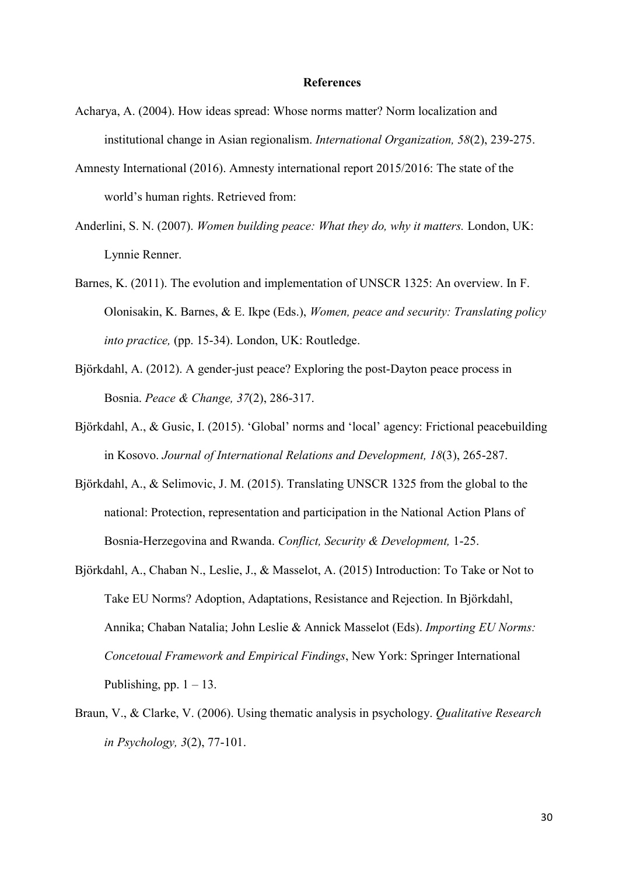#### **References**

- Acharya, A. (2004). How ideas spread: Whose norms matter? Norm localization and institutional change in Asian regionalism. *International Organization, 58*(2), 239-275.
- Amnesty International (2016). Amnesty international report 2015/2016: The state of the world's human rights. Retrieved from:
- Anderlini, S. N. (2007). *Women building peace: What they do, why it matters.* London, UK: Lynnie Renner.
- Barnes, K. (2011). The evolution and implementation of UNSCR 1325: An overview. In F. Olonisakin, K. Barnes, & E. Ikpe (Eds.), *Women, peace and security: Translating policy into practice,* (pp. 15-34). London, UK: Routledge.
- Björkdahl, A. (2012). A gender-just peace? Exploring the post-Dayton peace process in Bosnia. *Peace & Change, 37*(2), 286-317.
- Björkdahl, A., & Gusic, I. (2015). 'Global' norms and 'local' agency: Frictional peacebuilding in Kosovo. *Journal of International Relations and Development, 18*(3), 265-287.
- Björkdahl, A., & Selimovic, J. M. (2015). Translating UNSCR 1325 from the global to the national: Protection, representation and participation in the National Action Plans of Bosnia-Herzegovina and Rwanda. *Conflict, Security & Development,* 1-25.
- Björkdahl, A., Chaban N., Leslie, J., & Masselot, A. (2015) Introduction: To Take or Not to Take EU Norms? Adoption, Adaptations, Resistance and Rejection. In Björkdahl, Annika; Chaban Natalia; John Leslie & Annick Masselot (Eds). *Importing EU Norms: Concetoual Framework and Empirical Findings*, New York: Springer International Publishing, pp.  $1 - 13$ .
- Braun, V., & Clarke, V. (2006). Using thematic analysis in psychology. *Qualitative Research in Psychology, 3*(2), 77-101.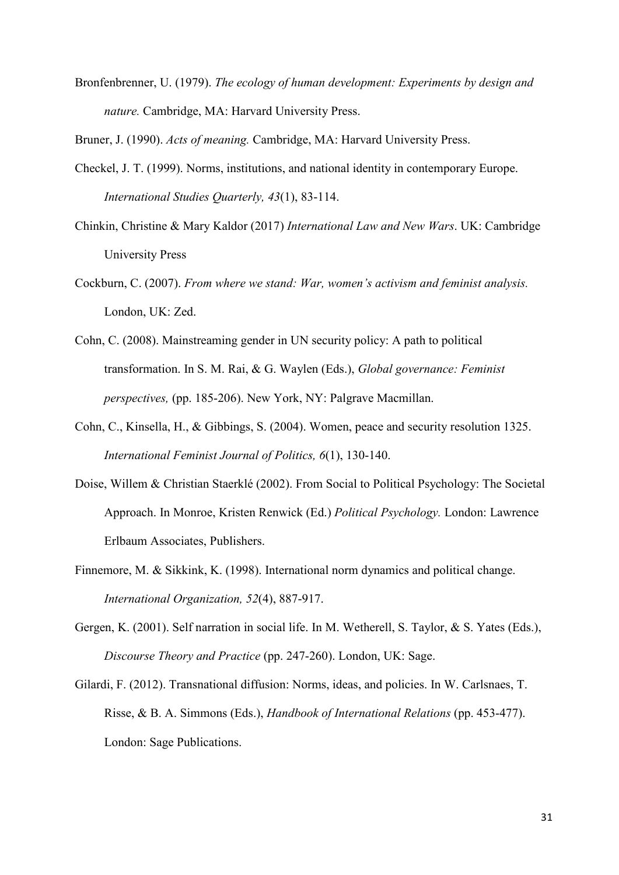Bronfenbrenner, U. (1979). *The ecology of human development: Experiments by design and nature.* Cambridge, MA: Harvard University Press.

Bruner, J. (1990). *Acts of meaning.* Cambridge, MA: Harvard University Press.

- Checkel, J. T. (1999). Norms, institutions, and national identity in contemporary Europe. *International Studies Quarterly, 43*(1), 83-114.
- Chinkin, Christine & Mary Kaldor (2017) *International Law and New Wars*. UK: Cambridge University Press
- Cockburn, C. (2007). *From where we stand: War, women's activism and feminist analysis.*  London, UK: Zed.
- Cohn, C. (2008). Mainstreaming gender in UN security policy: A path to political transformation. In S. M. Rai, & G. Waylen (Eds.), *Global governance: Feminist perspectives,* (pp. 185-206). New York, NY: Palgrave Macmillan.
- Cohn, C., Kinsella, H., & Gibbings, S. (2004). Women, peace and security resolution 1325. *International Feminist Journal of Politics, 6*(1), 130-140.
- Doise, Willem & Christian Staerklé (2002). From Social to Political Psychology: The Societal Approach. In Monroe, Kristen Renwick (Ed.) *Political Psychology.* London: Lawrence Erlbaum Associates, Publishers.
- Finnemore, M. & Sikkink, K. (1998). International norm dynamics and political change. *International Organization, 52*(4), 887-917.
- Gergen, K. (2001). Self narration in social life. In M. Wetherell, S. Taylor, & S. Yates (Eds.), *Discourse Theory and Practice* (pp. 247-260). London, UK: Sage.

Gilardi, F. (2012). Transnational diffusion: Norms, ideas, and policies. In W. Carlsnaes, T. Risse, & B. A. Simmons (Eds.), *Handbook of International Relations* (pp. 453-477). London: Sage Publications.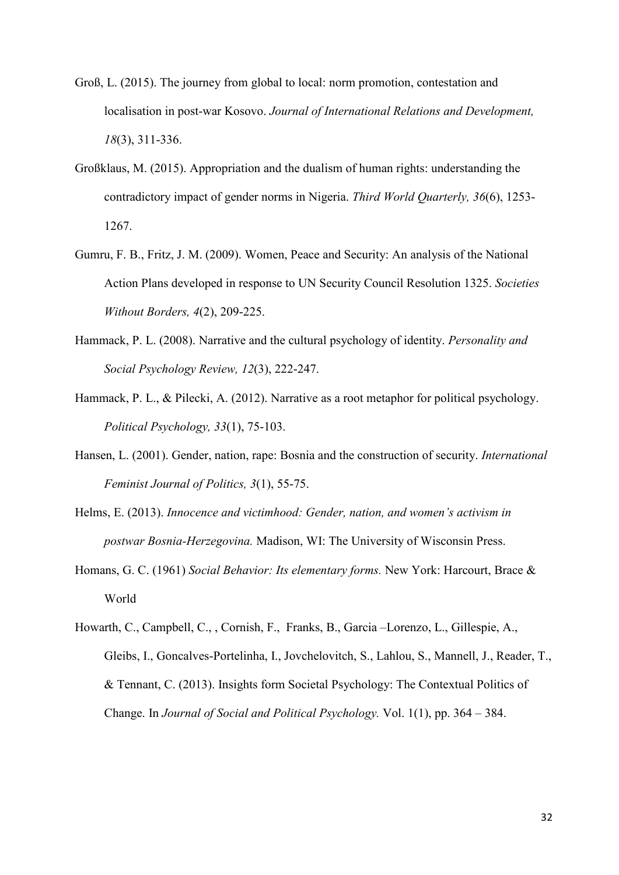- Groß, L. (2015). The journey from global to local: norm promotion, contestation and localisation in post-war Kosovo. *Journal of International Relations and Development, 18*(3), 311-336.
- Großklaus, M. (2015). Appropriation and the dualism of human rights: understanding the contradictory impact of gender norms in Nigeria. *Third World Quarterly, 36*(6), 1253- 1267.
- Gumru, F. B., Fritz, J. M. (2009). Women, Peace and Security: An analysis of the National Action Plans developed in response to UN Security Council Resolution 1325. *Societies Without Borders, 4*(2), 209-225.
- Hammack, P. L. (2008). Narrative and the cultural psychology of identity. *Personality and Social Psychology Review, 12*(3), 222-247.
- Hammack, P. L., & Pilecki, A. (2012). Narrative as a root metaphor for political psychology. *Political Psychology, 33*(1), 75-103.
- Hansen, L. (2001). Gender, nation, rape: Bosnia and the construction of security. *International Feminist Journal of Politics, 3*(1), 55-75.
- Helms, E. (2013). *Innocence and victimhood: Gender, nation, and women's activism in postwar Bosnia-Herzegovina.* Madison, WI: The University of Wisconsin Press.
- Homans, G. C. (1961) *Social Behavior: Its elementary forms.* New York: Harcourt, Brace & World
- Howarth, C., Campbell, C., , Cornish, F., Franks, B., Garcia –Lorenzo, L., Gillespie, A., Gleibs, I., Goncalves-Portelinha, I., Jovchelovitch, S., Lahlou, S., Mannell, J., Reader, T., & Tennant, C. (2013). Insights form Societal Psychology: The Contextual Politics of Change. In *Journal of Social and Political Psychology.* Vol. 1(1), pp. 364 – 384.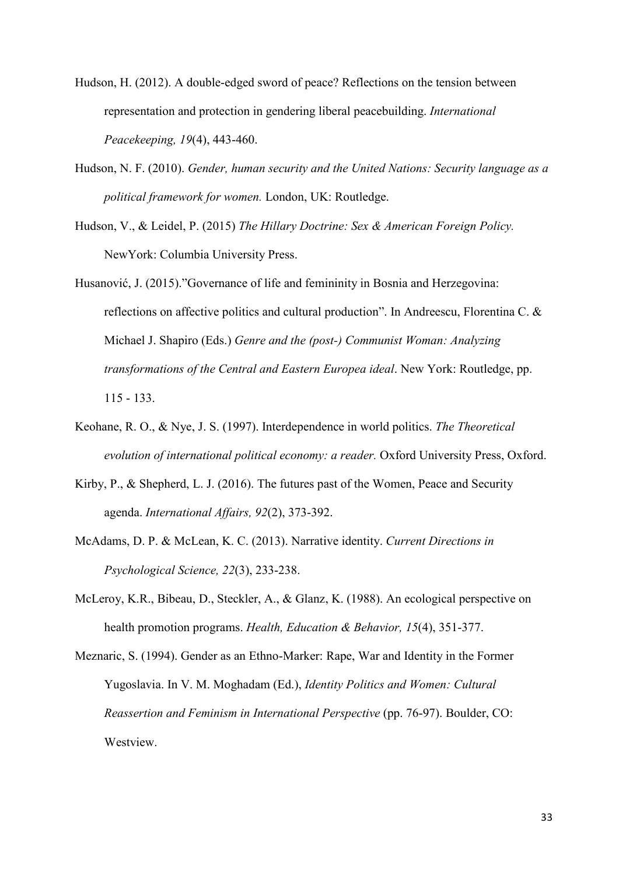- Hudson, H. (2012). A double-edged sword of peace? Reflections on the tension between representation and protection in gendering liberal peacebuilding. *International Peacekeeping, 19*(4), 443-460.
- Hudson, N. F. (2010). *Gender, human security and the United Nations: Security language as a political framework for women.* London, UK: Routledge.
- Hudson, V., & Leidel, P. (2015) *The Hillary Doctrine: Sex & American Foreign Policy.* NewYork: Columbia University Press.
- Husanović, J. (2015)."Governance of life and femininity in Bosnia and Herzegovina: reflections on affective politics and cultural production". In Andreescu, Florentina C. & Michael J. Shapiro (Eds.) *Genre and the (post-) Communist Woman: Analyzing transformations of the Central and Eastern Europea ideal*. New York: Routledge, pp. 115 - 133.
- Keohane, R. O., & Nye, J. S. (1997). Interdependence in world politics. *The Theoretical evolution of international political economy: a reader. Oxford University Press, Oxford.*
- Kirby, P., & Shepherd, L. J. (2016). The futures past of the Women, Peace and Security agenda. *International Affairs, 92*(2), 373-392.
- McAdams, D. P. & McLean, K. C. (2013). Narrative identity. *Current Directions in Psychological Science, 22*(3), 233-238.
- McLeroy, K.R., Bibeau, D., Steckler, A., & Glanz, K. (1988). An ecological perspective on health promotion programs. *Health, Education & Behavior, 15*(4), 351-377.
- Meznaric, S. (1994). Gender as an Ethno-Marker: Rape, War and Identity in the Former Yugoslavia. In V. M. Moghadam (Ed.), *Identity Politics and Women: Cultural Reassertion and Feminism in International Perspective (pp. 76-97). Boulder, CO:* Westview.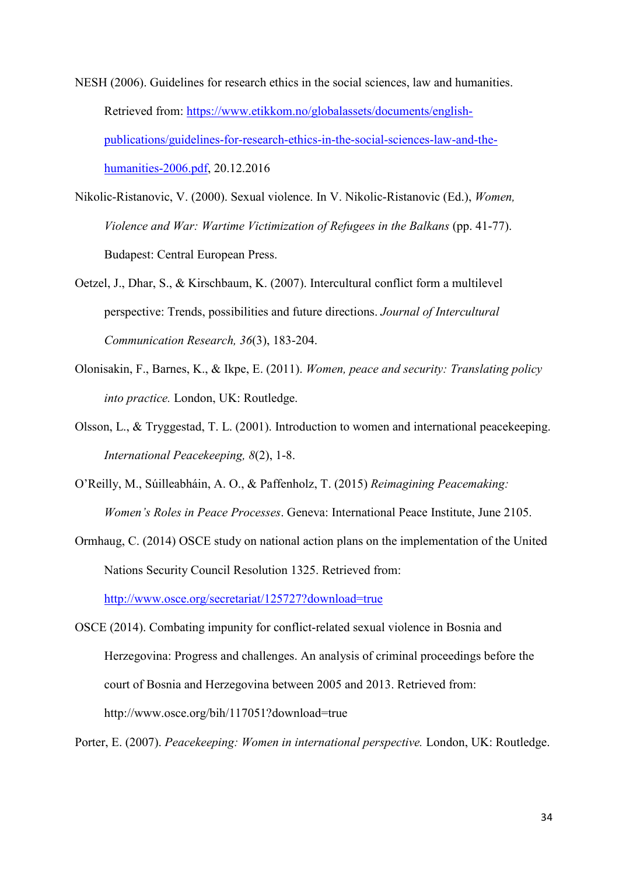NESH (2006). Guidelines for research ethics in the social sciences, law and humanities. Retrieved from: [https://www.etikkom.no/globalassets/documents/english](https://www.etikkom.no/globalassets/documents/english-publications/guidelines-for-research-ethics-in-the-social-sciences-law-and-the-humanities-2006.pdf)[publications/guidelines-for-research-ethics-in-the-social-sciences-law-and-the](https://www.etikkom.no/globalassets/documents/english-publications/guidelines-for-research-ethics-in-the-social-sciences-law-and-the-humanities-2006.pdf)[humanities-2006.pdf,](https://www.etikkom.no/globalassets/documents/english-publications/guidelines-for-research-ethics-in-the-social-sciences-law-and-the-humanities-2006.pdf) 20.12.2016

- Nikolic-Ristanovic, V. (2000). Sexual violence. In V. Nikolic-Ristanovic (Ed.), *Women, Violence and War: Wartime Victimization of Refugees in the Balkans (pp. 41-77).* Budapest: Central European Press.
- Oetzel, J., Dhar, S., & Kirschbaum, K. (2007). Intercultural conflict form a multilevel perspective: Trends, possibilities and future directions. *Journal of Intercultural Communication Research, 36*(3), 183-204.
- Olonisakin, F., Barnes, K., & Ikpe, E. (2011). *Women, peace and security: Translating policy into practice.* London, UK: Routledge.
- Olsson, L., & Tryggestad, T. L. (2001). Introduction to women and international peacekeeping. *International Peacekeeping, 8*(2), 1-8.
- O'Reilly, M., Súilleabháin, A. O., & Paffenholz, T. (2015) *Reimagining Peacemaking: Women's Roles in Peace Processes*. Geneva: International Peace Institute, June 2105.

Ormhaug, C. (2014) OSCE study on national action plans on the implementation of the United Nations Security Council Resolution 1325. Retrieved from:

<http://www.osce.org/secretariat/125727?download=true>

OSCE (2014). Combating impunity for conflict-related sexual violence in Bosnia and Herzegovina: Progress and challenges. An analysis of criminal proceedings before the court of Bosnia and Herzegovina between 2005 and 2013. Retrieved from: http://www.osce.org/bih/117051?download=true

Porter, E. (2007). *Peacekeeping: Women in international perspective.* London, UK: Routledge.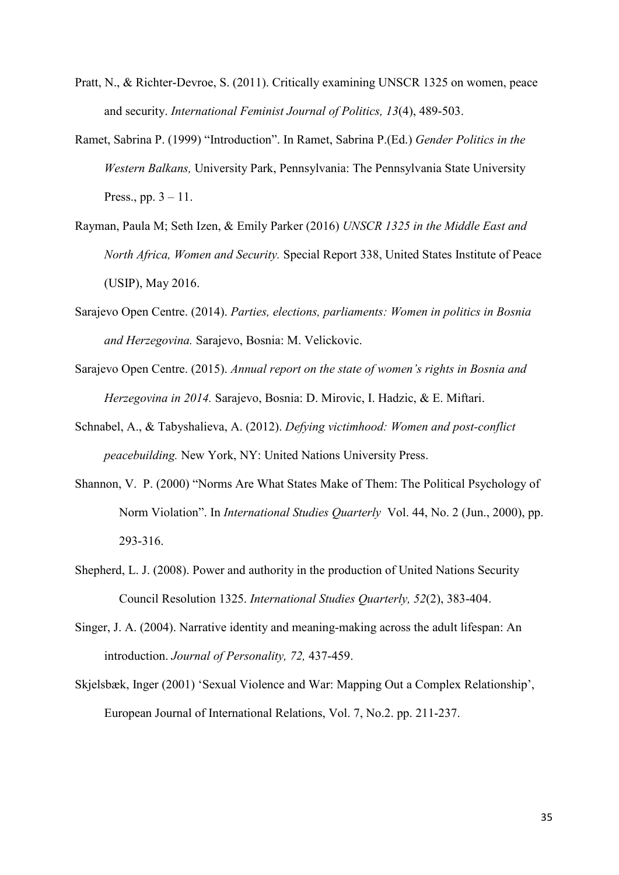- Pratt, N., & Richter-Devroe, S. (2011). Critically examining UNSCR 1325 on women, peace and security. *International Feminist Journal of Politics, 13*(4), 489-503.
- Ramet, Sabrina P. (1999) "Introduction". In Ramet, Sabrina P.(Ed.) *Gender Politics in the Western Balkans,* University Park, Pennsylvania: The Pennsylvania State University Press., pp.  $3 - 11$ .
- Rayman, Paula M; Seth Izen, & Emily Parker (2016) *UNSCR 1325 in the Middle East and North Africa, Women and Security.* Special Report 338, United States Institute of Peace (USIP), May 2016.
- Sarajevo Open Centre. (2014). *Parties, elections, parliaments: Women in politics in Bosnia and Herzegovina.* Sarajevo, Bosnia: M. Velickovic.
- Sarajevo Open Centre. (2015). *Annual report on the state of women's rights in Bosnia and Herzegovina in 2014.* Sarajevo, Bosnia: D. Mirovic, I. Hadzic, & E. Miftari.
- Schnabel, A., & Tabyshalieva, A. (2012). *Defying victimhood: Women and post-conflict peacebuilding.* New York, NY: United Nations University Press.
- Shannon, V. P. (2000) "Norms Are What States Make of Them: The Political Psychology of Norm Violation". In *International Studies Quarterly* Vol. 44, No. 2 (Jun., 2000), pp. 293-316.
- Shepherd, L. J. (2008). Power and authority in the production of United Nations Security Council Resolution 1325. *International Studies Quarterly, 52*(2), 383-404.
- Singer, J. A. (2004). Narrative identity and meaning-making across the adult lifespan: An introduction. *Journal of Personality, 72,* 437-459.
- Skjelsbæk, Inger (2001) 'Sexual Violence and War: Mapping Out a Complex Relationship', European Journal of International Relations, Vol. 7, No.2. pp. 211-237.